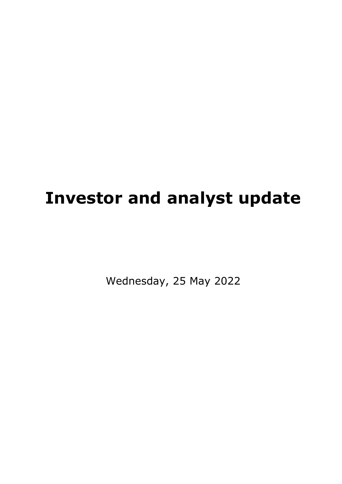# **Investor and analyst update**

Wednesday, 25 May 2022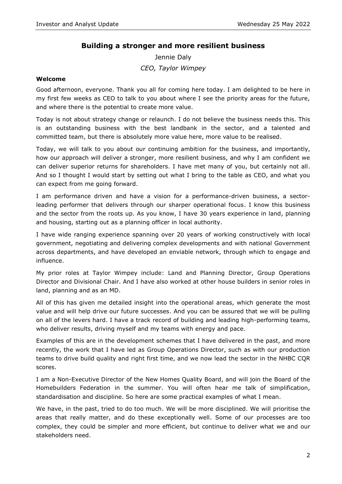# **Building a stronger and more resilient business**

Jennie Daly *CEO, Taylor Wimpey*

#### **Welcome**

Good afternoon, everyone. Thank you all for coming here today. I am delighted to be here in my first few weeks as CEO to talk to you about where I see the priority areas for the future, and where there is the potential to create more value.

Today is not about strategy change or relaunch. I do not believe the business needs this. This is an outstanding business with the best landbank in the sector, and a talented and committed team, but there is absolutely more value here, more value to be realised.

Today, we will talk to you about our continuing ambition for the business, and importantly, how our approach will deliver a stronger, more resilient business, and why I am confident we can deliver superior returns for shareholders. I have met many of you, but certainly not all. And so I thought I would start by setting out what I bring to the table as CEO, and what you can expect from me going forward.

I am performance driven and have a vision for a performance-driven business, a sectorleading performer that delivers through our sharper operational focus. I know this business and the sector from the roots up. As you know, I have 30 years experience in land, planning and housing, starting out as a planning officer in local authority.

I have wide ranging experience spanning over 20 years of working constructively with local government, negotiating and delivering complex developments and with national Government across departments, and have developed an enviable network, through which to engage and influence.

My prior roles at Taylor Wimpey include: Land and Planning Director, Group Operations Director and Divisional Chair. And I have also worked at other house builders in senior roles in land, planning and as an MD.

All of this has given me detailed insight into the operational areas, which generate the most value and will help drive our future successes. And you can be assured that we will be pulling on all of the levers hard. I have a track record of building and leading high-performing teams, who deliver results, driving myself and my teams with energy and pace.

Examples of this are in the development schemes that I have delivered in the past, and more recently, the work that I have led as Group Operations Director, such as with our production teams to drive build quality and right first time, and we now lead the sector in the NHBC CQR scores.

I am a Non-Executive Director of the New Homes Quality Board, and will join the Board of the Homebuilders Federation in the summer. You will often hear me talk of simplification, standardisation and discipline. So here are some practical examples of what I mean.

We have, in the past, tried to do too much. We will be more disciplined. We will prioritise the areas that really matter, and do these exceptionally well. Some of our processes are too complex, they could be simpler and more efficient, but continue to deliver what we and our stakeholders need.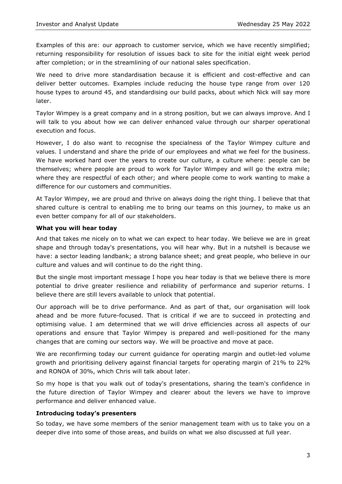Examples of this are: our approach to customer service, which we have recently simplified; returning responsibility for resolution of issues back to site for the initial eight week period after completion; or in the streamlining of our national sales specification.

We need to drive more standardisation because it is efficient and cost-effective and can deliver better outcomes. Examples include reducing the house type range from over 120 house types to around 45, and standardising our build packs, about which Nick will say more later.

Taylor Wimpey is a great company and in a strong position, but we can always improve. And I will talk to you about how we can deliver enhanced value through our sharper operational execution and focus.

However, I do also want to recognise the specialness of the Taylor Wimpey culture and values. I understand and share the pride of our employees and what we feel for the business. We have worked hard over the years to create our culture, a culture where: people can be themselves; where people are proud to work for Taylor Wimpey and will go the extra mile; where they are respectful of each other; and where people come to work wanting to make a difference for our customers and communities.

At Taylor Wimpey, we are proud and thrive on always doing the right thing. I believe that that shared culture is central to enabling me to bring our teams on this journey, to make us an even better company for all of our stakeholders.

#### **What you will hear today**

And that takes me nicely on to what we can expect to hear today. We believe we are in great shape and through today's presentations, you will hear why. But in a nutshell is because we have: a sector leading landbank; a strong balance sheet; and great people, who believe in our culture and values and will continue to do the right thing.

But the single most important message I hope you hear today is that we believe there is more potential to drive greater resilience and reliability of performance and superior returns. I believe there are still levers available to unlock that potential.

Our approach will be to drive performance. And as part of that, our organisation will look ahead and be more future-focused. That is critical if we are to succeed in protecting and optimising value. I am determined that we will drive efficiencies across all aspects of our operations and ensure that Taylor Wimpey is prepared and well-positioned for the many changes that are coming our sectors way. We will be proactive and move at pace.

We are reconfirming today our current guidance for operating margin and outlet-led volume growth and prioritising delivery against financial targets for operating margin of 21% to 22% and RONOA of 30%, which Chris will talk about later.

So my hope is that you walk out of today's presentations, sharing the team's confidence in the future direction of Taylor Wimpey and clearer about the levers we have to improve performance and deliver enhanced value.

#### **Introducing today's presenters**

So today, we have some members of the senior management team with us to take you on a deeper dive into some of those areas, and builds on what we also discussed at full year.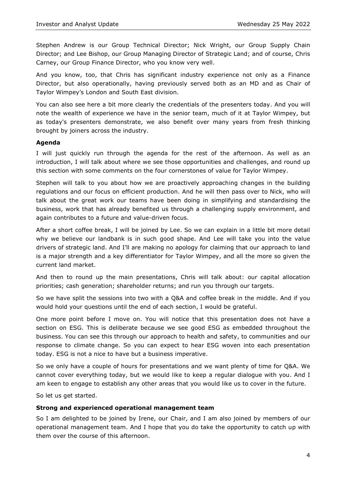Stephen Andrew is our Group Technical Director; Nick Wright, our Group Supply Chain Director; and Lee Bishop, our Group Managing Director of Strategic Land; and of course, Chris Carney, our Group Finance Director, who you know very well.

And you know, too, that Chris has significant industry experience not only as a Finance Director, but also operationally, having previously served both as an MD and as Chair of Taylor Wimpey's London and South East division.

You can also see here a bit more clearly the credentials of the presenters today. And you will note the wealth of experience we have in the senior team, much of it at Taylor Wimpey, but as today's presenters demonstrate, we also benefit over many years from fresh thinking brought by joiners across the industry.

#### **Agenda**

I will just quickly run through the agenda for the rest of the afternoon. As well as an introduction, I will talk about where we see those opportunities and challenges, and round up this section with some comments on the four cornerstones of value for Taylor Wimpey.

Stephen will talk to you about how we are proactively approaching changes in the building regulations and our focus on efficient production. And he will then pass over to Nick, who will talk about the great work our teams have been doing in simplifying and standardising the business, work that has already benefited us through a challenging supply environment, and again contributes to a future and value-driven focus.

After a short coffee break, I will be joined by Lee. So we can explain in a little bit more detail why we believe our landbank is in such good shape. And Lee will take you into the value drivers of strategic land. And I'll are making no apology for claiming that our approach to land is a major strength and a key differentiator for Taylor Wimpey, and all the more so given the current land market.

And then to round up the main presentations, Chris will talk about: our capital allocation priorities; cash generation; shareholder returns; and run you through our targets.

So we have split the sessions into two with a Q&A and coffee break in the middle. And if you would hold your questions until the end of each section, I would be grateful.

One more point before I move on. You will notice that this presentation does not have a section on ESG. This is deliberate because we see good ESG as embedded throughout the business. You can see this through our approach to health and safety, to communities and our response to climate change. So you can expect to hear ESG woven into each presentation today. ESG is not a nice to have but a business imperative.

So we only have a couple of hours for presentations and we want plenty of time for Q&A. We cannot cover everything today, but we would like to keep a regular dialogue with you. And I am keen to engage to establish any other areas that you would like us to cover in the future.

So let us get started.

#### **Strong and experienced operational management team**

So I am delighted to be joined by Irene, our Chair, and I am also joined by members of our operational management team. And I hope that you do take the opportunity to catch up with them over the course of this afternoon.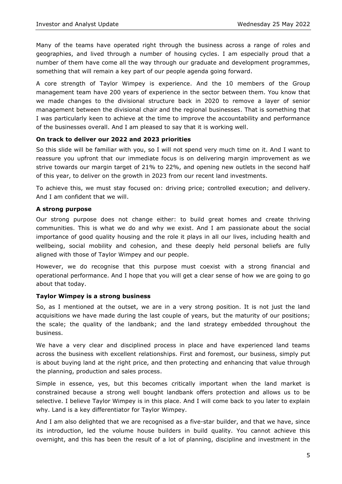Many of the teams have operated right through the business across a range of roles and geographies, and lived through a number of housing cycles. I am especially proud that a number of them have come all the way through our graduate and development programmes, something that will remain a key part of our people agenda going forward.

A core strength of Taylor Wimpey is experience. And the 10 members of the Group management team have 200 years of experience in the sector between them. You know that we made changes to the divisional structure back in 2020 to remove a layer of senior management between the divisional chair and the regional businesses. That is something that I was particularly keen to achieve at the time to improve the accountability and performance of the businesses overall. And I am pleased to say that it is working well.

## **On track to deliver our 2022 and 2023 priorities**

So this slide will be familiar with you, so I will not spend very much time on it. And I want to reassure you upfront that our immediate focus is on delivering margin improvement as we strive towards our margin target of 21% to 22%, and opening new outlets in the second half of this year, to deliver on the growth in 2023 from our recent land investments.

To achieve this, we must stay focused on: driving price; controlled execution; and delivery. And I am confident that we will.

## **A strong purpose**

Our strong purpose does not change either: to build great homes and create thriving communities. This is what we do and why we exist. And I am passionate about the social importance of good quality housing and the role it plays in all our lives, including health and wellbeing, social mobility and cohesion, and these deeply held personal beliefs are fully aligned with those of Taylor Wimpey and our people.

However, we do recognise that this purpose must coexist with a strong financial and operational performance. And I hope that you will get a clear sense of how we are going to go about that today.

# **Taylor Wimpey is a strong business**

So, as I mentioned at the outset, we are in a very strong position. It is not just the land acquisitions we have made during the last couple of years, but the maturity of our positions; the scale; the quality of the landbank; and the land strategy embedded throughout the business.

We have a very clear and disciplined process in place and have experienced land teams across the business with excellent relationships. First and foremost, our business, simply put is about buying land at the right price, and then protecting and enhancing that value through the planning, production and sales process.

Simple in essence, yes, but this becomes critically important when the land market is constrained because a strong well bought landbank offers protection and allows us to be selective. I believe Taylor Wimpey is in this place. And I will come back to you later to explain why. Land is a key differentiator for Taylor Wimpey.

And I am also delighted that we are recognised as a five-star builder, and that we have, since its introduction, led the volume house builders in build quality. You cannot achieve this overnight, and this has been the result of a lot of planning, discipline and investment in the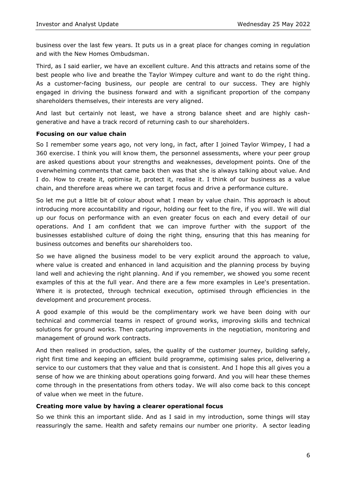business over the last few years. It puts us in a great place for changes coming in regulation and with the New Homes Ombudsman.

Third, as I said earlier, we have an excellent culture. And this attracts and retains some of the best people who live and breathe the Taylor Wimpey culture and want to do the right thing. As a customer-facing business, our people are central to our success. They are highly engaged in driving the business forward and with a significant proportion of the company shareholders themselves, their interests are very aligned.

And last but certainly not least, we have a strong balance sheet and are highly cashgenerative and have a track record of returning cash to our shareholders.

#### **Focusing on our value chain**

So I remember some years ago, not very long, in fact, after I joined Taylor Wimpey, I had a 360 exercise. I think you will know them, the personnel assessments, where your peer group are asked questions about your strengths and weaknesses, development points. One of the overwhelming comments that came back then was that she is always talking about value. And I do. How to create it, optimise it, protect it, realise it. I think of our business as a value chain, and therefore areas where we can target focus and drive a performance culture.

So let me put a little bit of colour about what I mean by value chain. This approach is about introducing more accountability and rigour, holding our feet to the fire, if you will. We will dial up our focus on performance with an even greater focus on each and every detail of our operations. And I am confident that we can improve further with the support of the businesses established culture of doing the right thing, ensuring that this has meaning for business outcomes and benefits our shareholders too.

So we have aligned the business model to be very explicit around the approach to value, where value is created and enhanced in land acquisition and the planning process by buying land well and achieving the right planning. And if you remember, we showed you some recent examples of this at the full year. And there are a few more examples in Lee's presentation. Where it is protected, through technical execution, optimised through efficiencies in the development and procurement process.

A good example of this would be the complimentary work we have been doing with our technical and commercial teams in respect of ground works, improving skills and technical solutions for ground works. Then capturing improvements in the negotiation, monitoring and management of ground work contracts.

And then realised in production, sales, the quality of the customer journey, building safely, right first time and keeping an efficient build programme, optimising sales price, delivering a service to our customers that they value and that is consistent. And I hope this all gives you a sense of how we are thinking about operations going forward. And you will hear these themes come through in the presentations from others today. We will also come back to this concept of value when we meet in the future.

#### **Creating more value by having a clearer operational focus**

So we think this an important slide. And as I said in my introduction, some things will stay reassuringly the same. Health and safety remains our number one priority. A sector leading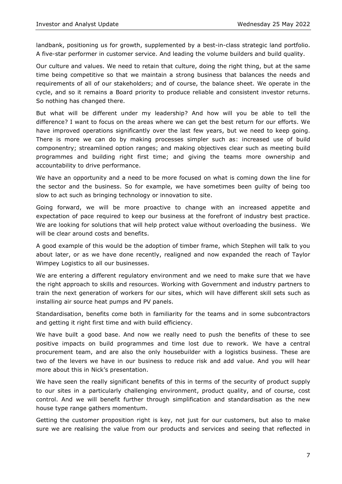landbank, positioning us for growth, supplemented by a best-in-class strategic land portfolio. A five-star performer in customer service. And leading the volume builders and build quality.

Our culture and values. We need to retain that culture, doing the right thing, but at the same time being competitive so that we maintain a strong business that balances the needs and requirements of all of our stakeholders; and of course, the balance sheet. We operate in the cycle, and so it remains a Board priority to produce reliable and consistent investor returns. So nothing has changed there.

But what will be different under my leadership? And how will you be able to tell the difference? I want to focus on the areas where we can get the best return for our efforts. We have improved operations significantly over the last few years, but we need to keep going. There is more we can do by making processes simpler such as: increased use of build componentry; streamlined option ranges; and making objectives clear such as meeting build programmes and building right first time; and giving the teams more ownership and accountability to drive performance.

We have an opportunity and a need to be more focused on what is coming down the line for the sector and the business. So for example, we have sometimes been guilty of being too slow to act such as bringing technology or innovation to site.

Going forward, we will be more proactive to change with an increased appetite and expectation of pace required to keep our business at the forefront of industry best practice. We are looking for solutions that will help protect value without overloading the business. We will be clear around costs and benefits.

A good example of this would be the adoption of timber frame, which Stephen will talk to you about later, or as we have done recently, realigned and now expanded the reach of Taylor Wimpey Logistics to all our businesses.

We are entering a different regulatory environment and we need to make sure that we have the right approach to skills and resources. Working with Government and industry partners to train the next generation of workers for our sites, which will have different skill sets such as installing air source heat pumps and PV panels.

Standardisation, benefits come both in familiarity for the teams and in some subcontractors and getting it right first time and with build efficiency.

We have built a good base. And now we really need to push the benefits of these to see positive impacts on build programmes and time lost due to rework. We have a central procurement team, and are also the only housebuilder with a logistics business. These are two of the levers we have in our business to reduce risk and add value. And you will hear more about this in Nick's presentation.

We have seen the really significant benefits of this in terms of the security of product supply to our sites in a particularly challenging environment, product quality, and of course, cost control. And we will benefit further through simplification and standardisation as the new house type range gathers momentum.

Getting the customer proposition right is key, not just for our customers, but also to make sure we are realising the value from our products and services and seeing that reflected in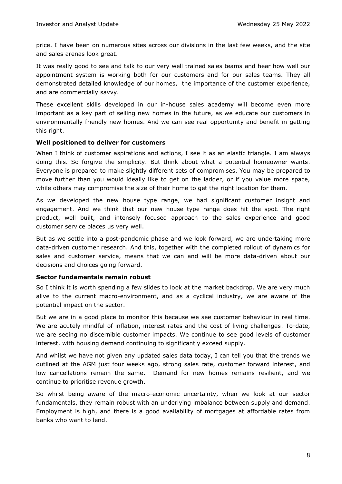price. I have been on numerous sites across our divisions in the last few weeks, and the site and sales arenas look great.

It was really good to see and talk to our very well trained sales teams and hear how well our appointment system is working both for our customers and for our sales teams. They all demonstrated detailed knowledge of our homes, the importance of the customer experience, and are commercially savvy.

These excellent skills developed in our in-house sales academy will become even more important as a key part of selling new homes in the future, as we educate our customers in environmentally friendly new homes. And we can see real opportunity and benefit in getting this right.

#### **Well positioned to deliver for customers**

When I think of customer aspirations and actions, I see it as an elastic triangle. I am always doing this. So forgive the simplicity. But think about what a potential homeowner wants. Everyone is prepared to make slightly different sets of compromises. You may be prepared to move further than you would ideally like to get on the ladder, or if you value more space, while others may compromise the size of their home to get the right location for them.

As we developed the new house type range, we had significant customer insight and engagement. And we think that our new house type range does hit the spot. The right product, well built, and intensely focused approach to the sales experience and good customer service places us very well.

But as we settle into a post-pandemic phase and we look forward, we are undertaking more data-driven customer research. And this, together with the completed rollout of dynamics for sales and customer service, means that we can and will be more data-driven about our decisions and choices going forward.

#### **Sector fundamentals remain robust**

So I think it is worth spending a few slides to look at the market backdrop. We are very much alive to the current macro-environment, and as a cyclical industry, we are aware of the potential impact on the sector.

But we are in a good place to monitor this because we see customer behaviour in real time. We are acutely mindful of inflation, interest rates and the cost of living challenges. To-date, we are seeing no discernible customer impacts. We continue to see good levels of customer interest, with housing demand continuing to significantly exceed supply.

And whilst we have not given any updated sales data today, I can tell you that the trends we outlined at the AGM just four weeks ago, strong sales rate, customer forward interest, and low cancellations remain the same. Demand for new homes remains resilient, and we continue to prioritise revenue growth.

So whilst being aware of the macro-economic uncertainty, when we look at our sector fundamentals, they remain robust with an underlying imbalance between supply and demand. Employment is high, and there is a good availability of mortgages at affordable rates from banks who want to lend.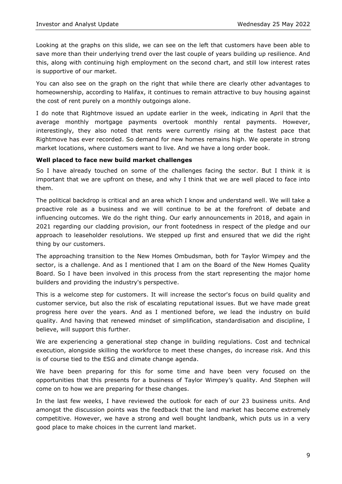Looking at the graphs on this slide, we can see on the left that customers have been able to save more than their underlying trend over the last couple of years building up resilience. And this, along with continuing high employment on the second chart, and still low interest rates is supportive of our market.

You can also see on the graph on the right that while there are clearly other advantages to homeownership, according to Halifax, it continues to remain attractive to buy housing against the cost of rent purely on a monthly outgoings alone.

I do note that Rightmove issued an update earlier in the week, indicating in April that the average monthly mortgage payments overtook monthly rental payments. However, interestingly, they also noted that rents were currently rising at the fastest pace that Rightmove has ever recorded. So demand for new homes remains high. We operate in strong market locations, where customers want to live. And we have a long order book.

# **Well placed to face new build market challenges**

So I have already touched on some of the challenges facing the sector. But I think it is important that we are upfront on these, and why I think that we are well placed to face into them.

The political backdrop is critical and an area which I know and understand well. We will take a proactive role as a business and we will continue to be at the forefront of debate and influencing outcomes. We do the right thing. Our early announcements in 2018, and again in 2021 regarding our cladding provision, our front footedness in respect of the pledge and our approach to leaseholder resolutions. We stepped up first and ensured that we did the right thing by our customers.

The approaching transition to the New Homes Ombudsman, both for Taylor Wimpey and the sector, is a challenge. And as I mentioned that I am on the Board of the New Homes Quality Board. So I have been involved in this process from the start representing the major home builders and providing the industry's perspective.

This is a welcome step for customers. It will increase the sector's focus on build quality and customer service, but also the risk of escalating reputational issues. But we have made great progress here over the years. And as I mentioned before, we lead the industry on build quality. And having that renewed mindset of simplification, standardisation and discipline, I believe, will support this further.

We are experiencing a generational step change in building regulations. Cost and technical execution, alongside skilling the workforce to meet these changes, do increase risk. And this is of course tied to the ESG and climate change agenda.

We have been preparing for this for some time and have been very focused on the opportunities that this presents for a business of Taylor Wimpey's quality. And Stephen will come on to how we are preparing for these changes.

In the last few weeks, I have reviewed the outlook for each of our 23 business units. And amongst the discussion points was the feedback that the land market has become extremely competitive. However, we have a strong and well bought landbank, which puts us in a very good place to make choices in the current land market.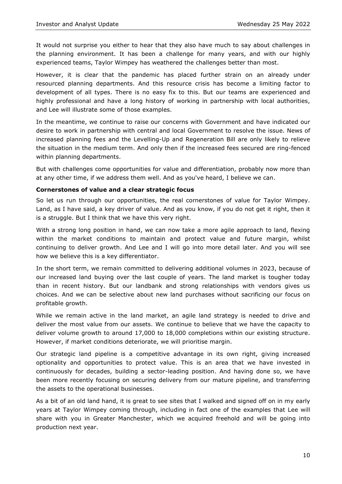It would not surprise you either to hear that they also have much to say about challenges in the planning environment. It has been a challenge for many years, and with our highly experienced teams, Taylor Wimpey has weathered the challenges better than most.

However, it is clear that the pandemic has placed further strain on an already under resourced planning departments. And this resource crisis has become a limiting factor to development of all types. There is no easy fix to this. But our teams are experienced and highly professional and have a long history of working in partnership with local authorities, and Lee will illustrate some of those examples.

In the meantime, we continue to raise our concerns with Government and have indicated our desire to work in partnership with central and local Government to resolve the issue. News of increased planning fees and the Levelling-Up and Regeneration Bill are only likely to relieve the situation in the medium term. And only then if the increased fees secured are ring-fenced within planning departments.

But with challenges come opportunities for value and differentiation, probably now more than at any other time, if we address them well. And as you've heard, I believe we can.

#### **Cornerstones of value and a clear strategic focus**

So let us run through our opportunities, the real cornerstones of value for Taylor Wimpey. Land, as I have said, a key driver of value. And as you know, if you do not get it right, then it is a struggle. But I think that we have this very right.

With a strong long position in hand, we can now take a more agile approach to land, flexing within the market conditions to maintain and protect value and future margin, whilst continuing to deliver growth. And Lee and I will go into more detail later. And you will see how we believe this is a key differentiator.

In the short term, we remain committed to delivering additional volumes in 2023, because of our increased land buying over the last couple of years. The land market is tougher today than in recent history. But our landbank and strong relationships with vendors gives us choices. And we can be selective about new land purchases without sacrificing our focus on profitable growth.

While we remain active in the land market, an agile land strategy is needed to drive and deliver the most value from our assets. We continue to believe that we have the capacity to deliver volume growth to around 17,000 to 18,000 completions within our existing structure. However, if market conditions deteriorate, we will prioritise margin.

Our strategic land pipeline is a competitive advantage in its own right, giving increased optionality and opportunities to protect value. This is an area that we have invested in continuously for decades, building a sector-leading position. And having done so, we have been more recently focusing on securing delivery from our mature pipeline, and transferring the assets to the operational businesses.

As a bit of an old land hand, it is great to see sites that I walked and signed off on in my early years at Taylor Wimpey coming through, including in fact one of the examples that Lee will share with you in Greater Manchester, which we acquired freehold and will be going into production next year.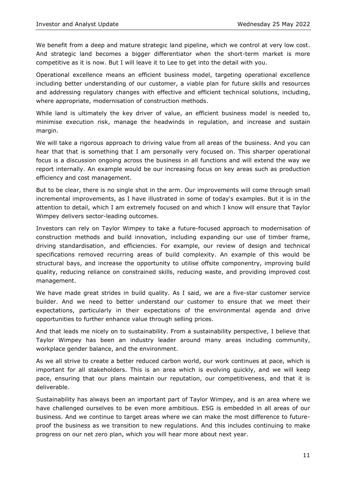We benefit from a deep and mature strategic land pipeline, which we control at very low cost. And strategic land becomes a bigger differentiator when the short-term market is more competitive as it is now. But I will leave it to Lee to get into the detail with you.

Operational excellence means an efficient business model, targeting operational excellence including better understanding of our customer, a viable plan for future skills and resources and addressing regulatory changes with effective and efficient technical solutions, including, where appropriate, modernisation of construction methods.

While land is ultimately the key driver of value, an efficient business model is needed to, minimise execution risk, manage the headwinds in regulation, and increase and sustain margin.

We will take a rigorous approach to driving value from all areas of the business. And you can hear that that is something that I am personally very focused on. This sharper operational focus is a discussion ongoing across the business in all functions and will extend the way we report internally. An example would be our increasing focus on key areas such as production efficiency and cost management.

But to be clear, there is no single shot in the arm. Our improvements will come through small incremental improvements, as I have illustrated in some of today's examples. But it is in the attention to detail, which I am extremely focused on and which I know will ensure that Taylor Wimpey delivers sector-leading outcomes.

Investors can rely on Taylor Wimpey to take a future-focused approach to modernisation of construction methods and build innovation, including expanding our use of timber frame, driving standardisation, and efficiencies. For example, our review of design and technical specifications removed recurring areas of build complexity. An example of this would be structural bays, and increase the opportunity to utilise offsite componentry, improving build quality, reducing reliance on constrained skills, reducing waste, and providing improved cost management.

We have made great strides in build quality. As I said, we are a five-star customer service builder. And we need to better understand our customer to ensure that we meet their expectations, particularly in their expectations of the environmental agenda and drive opportunities to further enhance value through selling prices.

And that leads me nicely on to sustainability. From a sustainability perspective, I believe that Taylor Wimpey has been an industry leader around many areas including community, workplace gender balance, and the environment.

As we all strive to create a better reduced carbon world, our work continues at pace, which is important for all stakeholders. This is an area which is evolving quickly, and we will keep pace, ensuring that our plans maintain our reputation, our competitiveness, and that it is deliverable.

Sustainability has always been an important part of Taylor Wimpey, and is an area where we have challenged ourselves to be even more ambitious. ESG is embedded in all areas of our business. And we continue to target areas where we can make the most difference to futureproof the business as we transition to new regulations. And this includes continuing to make progress on our net zero plan, which you will hear more about next year.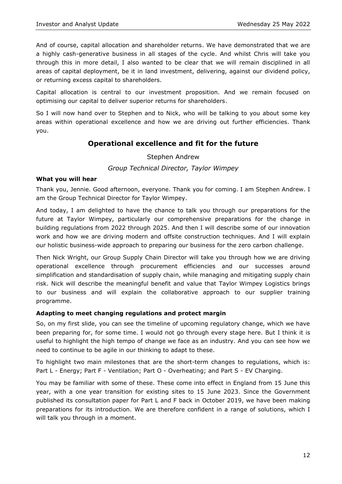And of course, capital allocation and shareholder returns. We have demonstrated that we are a highly cash-generative business in all stages of the cycle. And whilst Chris will take you through this in more detail, I also wanted to be clear that we will remain disciplined in all areas of capital deployment, be it in land investment, delivering, against our dividend policy, or returning excess capital to shareholders.

Capital allocation is central to our investment proposition. And we remain focused on optimising our capital to deliver superior returns for shareholders.

So I will now hand over to Stephen and to Nick, who will be talking to you about some key areas within operational excellence and how we are driving out further efficiencies. Thank you.

# **Operational excellence and fit for the future**

Stephen Andrew

*Group Technical Director, Taylor Wimpey*

#### **What you will hear**

Thank you, Jennie. Good afternoon, everyone. Thank you for coming. I am Stephen Andrew. I am the Group Technical Director for Taylor Wimpey.

And today, I am delighted to have the chance to talk you through our preparations for the future at Taylor Wimpey, particularly our comprehensive preparations for the change in building regulations from 2022 through 2025. And then I will describe some of our innovation work and how we are driving modern and offsite construction techniques. And I will explain our holistic business-wide approach to preparing our business for the zero carbon challenge.

Then Nick Wright, our Group Supply Chain Director will take you through how we are driving operational excellence through procurement efficiencies and our successes around simplification and standardisation of supply chain, while managing and mitigating supply chain risk. Nick will describe the meaningful benefit and value that Taylor Wimpey Logistics brings to our business and will explain the collaborative approach to our supplier training programme.

#### **Adapting to meet changing regulations and protect margin**

So, on my first slide, you can see the timeline of upcoming regulatory change, which we have been preparing for, for some time. I would not go through every stage here. But I think it is useful to highlight the high tempo of change we face as an industry. And you can see how we need to continue to be agile in our thinking to adapt to these.

To highlight two main milestones that are the short-term changes to regulations, which is: Part L - Energy; Part F - Ventilation; Part O - Overheating; and Part S - EV Charging.

You may be familiar with some of these. These come into effect in England from 15 June this year, with a one year transition for existing sites to 15 June 2023. Since the Government published its consultation paper for Part L and F back in October 2019, we have been making preparations for its introduction. We are therefore confident in a range of solutions, which I will talk you through in a moment.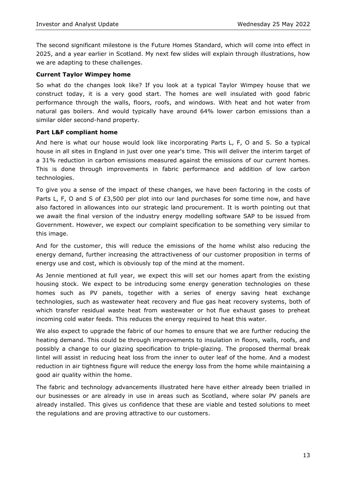The second significant milestone is the Future Homes Standard, which will come into effect in 2025, and a year earlier in Scotland. My next few slides will explain through illustrations, how we are adapting to these challenges.

#### **Current Taylor Wimpey home**

So what do the changes look like? If you look at a typical Taylor Wimpey house that we construct today, it is a very good start. The homes are well insulated with good fabric performance through the walls, floors, roofs, and windows. With heat and hot water from natural gas boilers. And would typically have around 64% lower carbon emissions than a similar older second-hand property.

#### **Part L&F compliant home**

And here is what our house would look like incorporating Parts L, F, O and S. So a typical house in all sites in England in just over one year's time. This will deliver the interim target of a 31% reduction in carbon emissions measured against the emissions of our current homes. This is done through improvements in fabric performance and addition of low carbon technologies.

To give you a sense of the impact of these changes, we have been factoring in the costs of Parts L, F, O and S of £3,500 per plot into our land purchases for some time now, and have also factored in allowances into our strategic land procurement. It is worth pointing out that we await the final version of the industry energy modelling software SAP to be issued from Government. However, we expect our complaint specification to be something very similar to this image.

And for the customer, this will reduce the emissions of the home whilst also reducing the energy demand, further increasing the attractiveness of our customer proposition in terms of energy use and cost, which is obviously top of the mind at the moment.

As Jennie mentioned at full year, we expect this will set our homes apart from the existing housing stock. We expect to be introducing some energy generation technologies on these homes such as PV panels, together with a series of energy saving heat exchange technologies, such as wastewater heat recovery and flue gas heat recovery systems, both of which transfer residual waste heat from wastewater or hot flue exhaust gases to preheat incoming cold water feeds. This reduces the energy required to heat this water.

We also expect to upgrade the fabric of our homes to ensure that we are further reducing the heating demand. This could be through improvements to insulation in floors, walls, roofs, and possibly a change to our glazing specification to triple-glazing. The proposed thermal break lintel will assist in reducing heat loss from the inner to outer leaf of the home. And a modest reduction in air tightness figure will reduce the energy loss from the home while maintaining a good air quality within the home.

The fabric and technology advancements illustrated here have either already been trialled in our businesses or are already in use in areas such as Scotland, where solar PV panels are already installed. This gives us confidence that these are viable and tested solutions to meet the regulations and are proving attractive to our customers.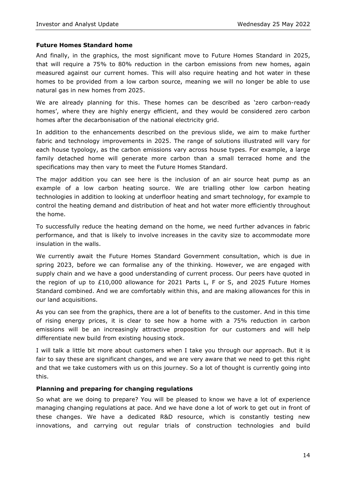#### **Future Homes Standard home**

And finally, in the graphics, the most significant move to Future Homes Standard in 2025, that will require a 75% to 80% reduction in the carbon emissions from new homes, again measured against our current homes. This will also require heating and hot water in these homes to be provided from a low carbon source, meaning we will no longer be able to use natural gas in new homes from 2025.

We are already planning for this. These homes can be described as 'zero carbon-ready homes', where they are highly energy efficient, and they would be considered zero carbon homes after the decarbonisation of the national electricity grid.

In addition to the enhancements described on the previous slide, we aim to make further fabric and technology improvements in 2025. The range of solutions illustrated will vary for each house typology, as the carbon emissions vary across house types. For example, a large family detached home will generate more carbon than a small terraced home and the specifications may then vary to meet the Future Homes Standard.

The major addition you can see here is the inclusion of an air source heat pump as an example of a low carbon heating source. We are trialling other low carbon heating technologies in addition to looking at underfloor heating and smart technology, for example to control the heating demand and distribution of heat and hot water more efficiently throughout the home.

To successfully reduce the heating demand on the home, we need further advances in fabric performance, and that is likely to involve increases in the cavity size to accommodate more insulation in the walls.

We currently await the Future Homes Standard Government consultation, which is due in spring 2023, before we can formalise any of the thinking. However, we are engaged with supply chain and we have a good understanding of current process. Our peers have quoted in the region of up to £10,000 allowance for 2021 Parts L, F or S, and 2025 Future Homes Standard combined. And we are comfortably within this, and are making allowances for this in our land acquisitions.

As you can see from the graphics, there are a lot of benefits to the customer. And in this time of rising energy prices, it is clear to see how a home with a 75% reduction in carbon emissions will be an increasingly attractive proposition for our customers and will help differentiate new build from existing housing stock.

I will talk a little bit more about customers when I take you through our approach. But it is fair to say these are significant changes, and we are very aware that we need to get this right and that we take customers with us on this journey. So a lot of thought is currently going into this.

#### **Planning and preparing for changing regulations**

So what are we doing to prepare? You will be pleased to know we have a lot of experience managing changing regulations at pace. And we have done a lot of work to get out in front of these changes. We have a dedicated R&D resource, which is constantly testing new innovations, and carrying out regular trials of construction technologies and build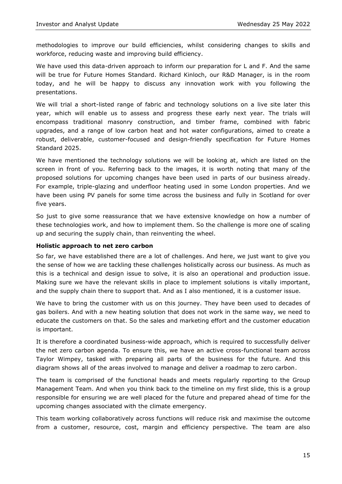methodologies to improve our build efficiencies, whilst considering changes to skills and workforce, reducing waste and improving build efficiency.

We have used this data-driven approach to inform our preparation for L and F. And the same will be true for Future Homes Standard. Richard Kinloch, our R&D Manager, is in the room today, and he will be happy to discuss any innovation work with you following the presentations.

We will trial a short-listed range of fabric and technology solutions on a live site later this year, which will enable us to assess and progress these early next year. The trials will encompass traditional masonry construction, and timber frame, combined with fabric upgrades, and a range of low carbon heat and hot water configurations, aimed to create a robust, deliverable, customer-focused and design-friendly specification for Future Homes Standard 2025.

We have mentioned the technology solutions we will be looking at, which are listed on the screen in front of you. Referring back to the images, it is worth noting that many of the proposed solutions for upcoming changes have been used in parts of our business already. For example, triple-glazing and underfloor heating used in some London properties. And we have been using PV panels for some time across the business and fully in Scotland for over five years.

So just to give some reassurance that we have extensive knowledge on how a number of these technologies work, and how to implement them. So the challenge is more one of scaling up and securing the supply chain, than reinventing the wheel.

#### **Holistic approach to net zero carbon**

So far, we have established there are a lot of challenges. And here, we just want to give you the sense of how we are tackling these challenges holistically across our business. As much as this is a technical and design issue to solve, it is also an operational and production issue. Making sure we have the relevant skills in place to implement solutions is vitally important, and the supply chain there to support that. And as I also mentioned, it is a customer issue.

We have to bring the customer with us on this journey. They have been used to decades of gas boilers. And with a new heating solution that does not work in the same way, we need to educate the customers on that. So the sales and marketing effort and the customer education is important.

It is therefore a coordinated business-wide approach, which is required to successfully deliver the net zero carbon agenda. To ensure this, we have an active cross-functional team across Taylor Wimpey, tasked with preparing all parts of the business for the future. And this diagram shows all of the areas involved to manage and deliver a roadmap to zero carbon.

The team is comprised of the functional heads and meets regularly reporting to the Group Management Team. And when you think back to the timeline on my first slide, this is a group responsible for ensuring we are well placed for the future and prepared ahead of time for the upcoming changes associated with the climate emergency.

This team working collaboratively across functions will reduce risk and maximise the outcome from a customer, resource, cost, margin and efficiency perspective. The team are also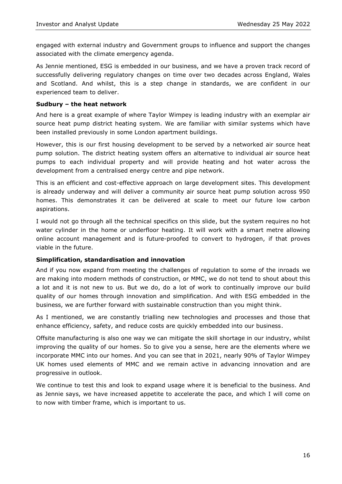engaged with external industry and Government groups to influence and support the changes associated with the climate emergency agenda.

As Jennie mentioned, ESG is embedded in our business, and we have a proven track record of successfully delivering regulatory changes on time over two decades across England, Wales and Scotland. And whilst, this is a step change in standards, we are confident in our experienced team to deliver.

#### **Sudbury – the heat network**

And here is a great example of where Taylor Wimpey is leading industry with an exemplar air source heat pump district heating system. We are familiar with similar systems which have been installed previously in some London apartment buildings.

However, this is our first housing development to be served by a networked air source heat pump solution. The district heating system offers an alternative to individual air source heat pumps to each individual property and will provide heating and hot water across the development from a centralised energy centre and pipe network.

This is an efficient and cost-effective approach on large development sites. This development is already underway and will deliver a community air source heat pump solution across 950 homes. This demonstrates it can be delivered at scale to meet our future low carbon aspirations.

I would not go through all the technical specifics on this slide, but the system requires no hot water cylinder in the home or underfloor heating. It will work with a smart metre allowing online account management and is future-proofed to convert to hydrogen, if that proves viable in the future.

#### **Simplification, standardisation and innovation**

And if you now expand from meeting the challenges of regulation to some of the inroads we are making into modern methods of construction, or MMC, we do not tend to shout about this a lot and it is not new to us. But we do, do a lot of work to continually improve our build quality of our homes through innovation and simplification. And with ESG embedded in the business, we are further forward with sustainable construction than you might think.

As I mentioned, we are constantly trialling new technologies and processes and those that enhance efficiency, safety, and reduce costs are quickly embedded into our business.

Offsite manufacturing is also one way we can mitigate the skill shortage in our industry, whilst improving the quality of our homes. So to give you a sense, here are the elements where we incorporate MMC into our homes. And you can see that in 2021, nearly 90% of Taylor Wimpey UK homes used elements of MMC and we remain active in advancing innovation and are progressive in outlook.

We continue to test this and look to expand usage where it is beneficial to the business. And as Jennie says, we have increased appetite to accelerate the pace, and which I will come on to now with timber frame, which is important to us.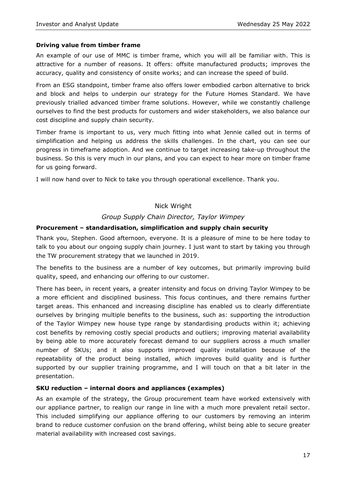#### **Driving value from timber frame**

An example of our use of MMC is timber frame, which you will all be familiar with. This is attractive for a number of reasons. It offers: offsite manufactured products; improves the accuracy, quality and consistency of onsite works; and can increase the speed of build.

From an ESG standpoint, timber frame also offers lower embodied carbon alternative to brick and block and helps to underpin our strategy for the Future Homes Standard. We have previously trialled advanced timber frame solutions. However, while we constantly challenge ourselves to find the best products for customers and wider stakeholders, we also balance our cost discipline and supply chain security.

Timber frame is important to us, very much fitting into what Jennie called out in terms of simplification and helping us address the skills challenges. In the chart, you can see our progress in timeframe adoption. And we continue to target increasing take-up throughout the business. So this is very much in our plans, and you can expect to hear more on timber frame for us going forward.

I will now hand over to Nick to take you through operational excellence. Thank you.

## Nick Wright

#### *Group Supply Chain Director, Taylor Wimpey*

#### **Procurement – standardisation, simplification and supply chain security**

Thank you, Stephen. Good afternoon, everyone. It is a pleasure of mine to be here today to talk to you about our ongoing supply chain journey. I just want to start by taking you through the TW procurement strategy that we launched in 2019.

The benefits to the business are a number of key outcomes, but primarily improving build quality, speed, and enhancing our offering to our customer.

There has been, in recent years, a greater intensity and focus on driving Taylor Wimpey to be a more efficient and disciplined business. This focus continues, and there remains further target areas. This enhanced and increasing discipline has enabled us to clearly differentiate ourselves by bringing multiple benefits to the business, such as: supporting the introduction of the Taylor Wimpey new house type range by standardising products within it; achieving cost benefits by removing costly special products and outliers; improving material availability by being able to more accurately forecast demand to our suppliers across a much smaller number of SKUs; and it also supports improved quality installation because of the repeatability of the product being installed, which improves build quality and is further supported by our supplier training programme, and I will touch on that a bit later in the presentation.

#### **SKU reduction – internal doors and appliances (examples)**

As an example of the strategy, the Group procurement team have worked extensively with our appliance partner, to realign our range in line with a much more prevalent retail sector. This included simplifying our appliance offering to our customers by removing an interim brand to reduce customer confusion on the brand offering, whilst being able to secure greater material availability with increased cost savings.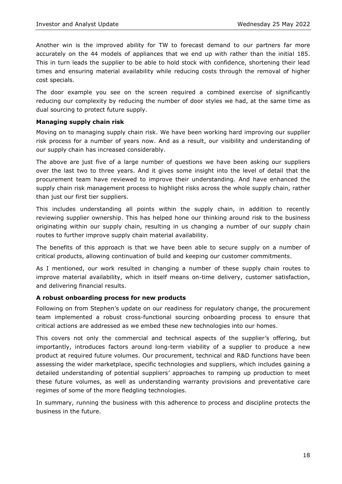Another win is the improved ability for TW to forecast demand to our partners far more accurately on the 44 models of appliances that we end up with rather than the initial 185. This in turn leads the supplier to be able to hold stock with confidence, shortening their lead times and ensuring material availability while reducing costs through the removal of higher cost specials.

The door example you see on the screen required a combined exercise of significantly reducing our complexity by reducing the number of door styles we had, at the same time as dual sourcing to protect future supply.

#### **Managing supply chain risk**

Moving on to managing supply chain risk. We have been working hard improving our supplier risk process for a number of years now. And as a result, our visibility and understanding of our supply chain has increased considerably.

The above are just five of a large number of questions we have been asking our suppliers over the last two to three years. And it gives some insight into the level of detail that the procurement team have reviewed to improve their understanding. And have enhanced the supply chain risk management process to highlight risks across the whole supply chain, rather than just our first tier suppliers.

This includes understanding all points within the supply chain, in addition to recently reviewing supplier ownership. This has helped hone our thinking around risk to the business originating within our supply chain, resulting in us changing a number of our supply chain routes to further improve supply chain material availability.

The benefits of this approach is that we have been able to secure supply on a number of critical products, allowing continuation of build and keeping our customer commitments.

As I mentioned, our work resulted in changing a number of these supply chain routes to improve material availability, which in itself means on-time delivery, customer satisfaction, and delivering financial results.

#### **A robust onboarding process for new products**

Following on from Stephen's update on our readiness for regulatory change, the procurement team implemented a robust cross-functional sourcing onboarding process to ensure that critical actions are addressed as we embed these new technologies into our homes.

This covers not only the commercial and technical aspects of the supplier's offering, but importantly, introduces factors around long-term viability of a supplier to produce a new product at required future volumes. Our procurement, technical and R&D functions have been assessing the wider marketplace, specific technologies and suppliers, which includes gaining a detailed understanding of potential suppliers' approaches to ramping up production to meet these future volumes, as well as understanding warranty provisions and preventative care regimes of some of the more fledgling technologies.

In summary, running the business with this adherence to process and discipline protects the business in the future.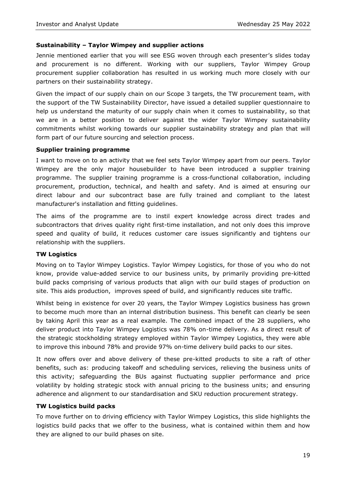#### **Sustainability – Taylor Wimpey and supplier actions**

Jennie mentioned earlier that you will see ESG woven through each presenter's slides today and procurement is no different. Working with our suppliers, Taylor Wimpey Group procurement supplier collaboration has resulted in us working much more closely with our partners on their sustainability strategy.

Given the impact of our supply chain on our Scope 3 targets, the TW procurement team, with the support of the TW Sustainability Director, have issued a detailed supplier questionnaire to help us understand the maturity of our supply chain when it comes to sustainability, so that we are in a better position to deliver against the wider Taylor Wimpey sustainability commitments whilst working towards our supplier sustainability strategy and plan that will form part of our future sourcing and selection process.

#### **Supplier training programme**

I want to move on to an activity that we feel sets Taylor Wimpey apart from our peers. Taylor Wimpey are the only major housebuilder to have been introduced a supplier training programme. The supplier training programme is a cross-functional collaboration, including procurement, production, technical, and health and safety. And is aimed at ensuring our direct labour and our subcontract base are fully trained and compliant to the latest manufacturer's installation and fitting guidelines.

The aims of the programme are to instil expert knowledge across direct trades and subcontractors that drives quality right first-time installation, and not only does this improve speed and quality of build, it reduces customer care issues significantly and tightens our relationship with the suppliers.

#### **TW Logistics**

Moving on to Taylor Wimpey Logistics. Taylor Wimpey Logistics, for those of you who do not know, provide value-added service to our business units, by primarily providing pre-kitted build packs comprising of various products that align with our build stages of production on site. This aids production, improves speed of build, and significantly reduces site traffic.

Whilst being in existence for over 20 years, the Taylor Wimpey Logistics business has grown to become much more than an internal distribution business. This benefit can clearly be seen by taking April this year as a real example. The combined impact of the 28 suppliers, who deliver product into Taylor Wimpey Logistics was 78% on-time delivery. As a direct result of the strategic stockholding strategy employed within Taylor Wimpey Logistics, they were able to improve this inbound 78% and provide 97% on-time delivery build packs to our sites.

It now offers over and above delivery of these pre-kitted products to site a raft of other benefits, such as: producing takeoff and scheduling services, relieving the business units of this activity; safeguarding the BUs against fluctuating supplier performance and price volatility by holding strategic stock with annual pricing to the business units; and ensuring adherence and alignment to our standardisation and SKU reduction procurement strategy.

#### **TW Logistics build packs**

To move further on to driving efficiency with Taylor Wimpey Logistics, this slide highlights the logistics build packs that we offer to the business, what is contained within them and how they are aligned to our build phases on site.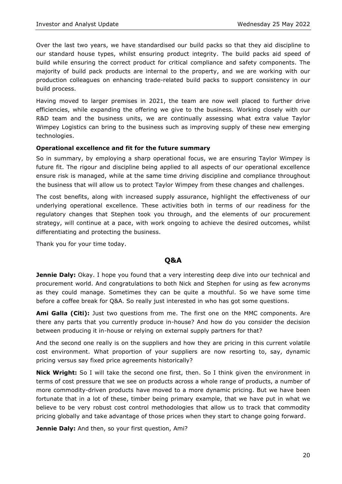Over the last two years, we have standardised our build packs so that they aid discipline to our standard house types, whilst ensuring product integrity. The build packs aid speed of build while ensuring the correct product for critical compliance and safety components. The majority of build pack products are internal to the property, and we are working with our production colleagues on enhancing trade-related build packs to support consistency in our build process.

Having moved to larger premises in 2021, the team are now well placed to further drive efficiencies, while expanding the offering we give to the business. Working closely with our R&D team and the business units, we are continually assessing what extra value Taylor Wimpey Logistics can bring to the business such as improving supply of these new emerging technologies.

#### **Operational excellence and fit for the future summary**

So in summary, by employing a sharp operational focus, we are ensuring Taylor Wimpey is future fit. The rigour and discipline being applied to all aspects of our operational excellence ensure risk is managed, while at the same time driving discipline and compliance throughout the business that will allow us to protect Taylor Wimpey from these changes and challenges.

The cost benefits, along with increased supply assurance, highlight the effectiveness of our underlying operational excellence. These activities both in terms of our readiness for the regulatory changes that Stephen took you through, and the elements of our procurement strategy, will continue at a pace, with work ongoing to achieve the desired outcomes, whilst differentiating and protecting the business.

Thank you for your time today.

# **Q&A**

**Jennie Daly:** Okay. I hope you found that a very interesting deep dive into our technical and procurement world. And congratulations to both Nick and Stephen for using as few acronyms as they could manage. Sometimes they can be quite a mouthful. So we have some time before a coffee break for Q&A. So really just interested in who has got some questions.

**Ami Galla (Citi):** Just two questions from me. The first one on the MMC components. Are there any parts that you currently produce in-house? And how do you consider the decision between producing it in-house or relying on external supply partners for that?

And the second one really is on the suppliers and how they are pricing in this current volatile cost environment. What proportion of your suppliers are now resorting to, say, dynamic pricing versus say fixed price agreements historically?

**Nick Wright:** So I will take the second one first, then. So I think given the environment in terms of cost pressure that we see on products across a whole range of products, a number of more commodity-driven products have moved to a more dynamic pricing. But we have been fortunate that in a lot of these, timber being primary example, that we have put in what we believe to be very robust cost control methodologies that allow us to track that commodity pricing globally and take advantage of those prices when they start to change going forward.

**Jennie Daly:** And then, so your first question, Ami?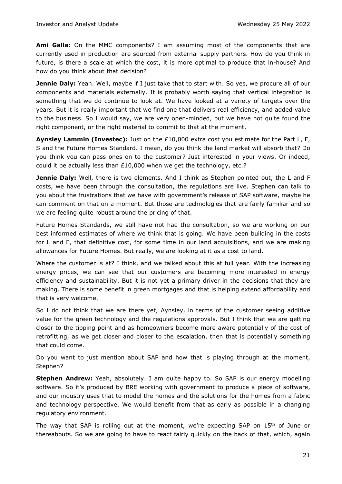**Ami Galla:** On the MMC components? I am assuming most of the components that are currently used in production are sourced from external supply partners. How do you think in future, is there a scale at which the cost, it is more optimal to produce that in-house? And how do you think about that decision?

**Jennie Daly:** Yeah. Well, maybe if I just take that to start with. So yes, we procure all of our components and materials externally. It is probably worth saying that vertical integration is something that we do continue to look at. We have looked at a variety of targets over the years. But it is really important that we find one that delivers real efficiency, and added value to the business. So I would say, we are very open-minded, but we have not quite found the right component, or the right material to commit to that at the moment.

**Aynsley Lammin (Investec):** Just on the £10,000 extra cost you estimate for the Part L, F, S and the Future Homes Standard. I mean, do you think the land market will absorb that? Do you think you can pass ones on to the customer? Just interested in your views. Or indeed, could it be actually less than £10,000 when we get the technology, etc.?

**Jennie Daly:** Well, there is two elements. And I think as Stephen pointed out, the L and F costs, we have been through the consultation, the regulations are live. Stephen can talk to you about the frustrations that we have with government's release of SAP software, maybe he can comment on that on a moment. But those are technologies that are fairly familiar and so we are feeling quite robust around the pricing of that.

Future Homes Standards, we still have not had the consultation, so we are working on our best informed estimates of where we think that is going. We have been building in the costs for L and F, that definitive cost, for some time in our land acquisitions, and we are making allowances for Future Homes. But really, we are looking at it as a cost to land.

Where the customer is at? I think, and we talked about this at full year. With the increasing energy prices, we can see that our customers are becoming more interested in energy efficiency and sustainability. But it is not yet a primary driver in the decisions that they are making. There is some benefit in green mortgages and that is helping extend affordability and that is very welcome.

So I do not think that we are there yet, Aynsley, in terms of the customer seeing additive value for the green technology and the regulations approvals. But I think that we are getting closer to the tipping point and as homeowners become more aware potentially of the cost of retrofitting, as we get closer and closer to the escalation, then that is potentially something that could come.

Do you want to just mention about SAP and how that is playing through at the moment, Stephen?

**Stephen Andrew:** Yeah, absolutely. I am quite happy to. So SAP is our energy modelling software. So it's produced by BRE working with government to produce a piece of software, and our industry uses that to model the homes and the solutions for the homes from a fabric and technology perspective. We would benefit from that as early as possible in a changing regulatory environment.

The way that SAP is rolling out at the moment, we're expecting SAP on  $15<sup>th</sup>$  of June or thereabouts. So we are going to have to react fairly quickly on the back of that, which, again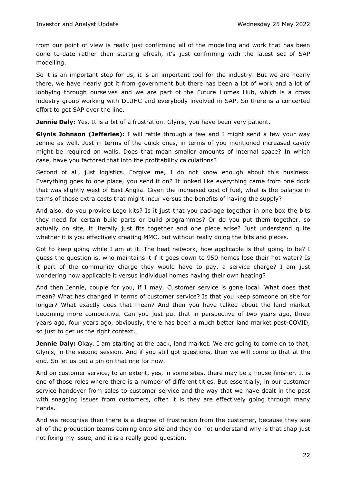from our point of view is really just confirming all of the modelling and work that has been done to-date rather than starting afresh, it's just confirming with the latest set of SAP modelling.

So it is an important step for us, it is an important tool for the industry. But we are nearly there, we have nearly got it from government but there has been a lot of work and a lot of lobbying through ourselves and we are part of the Future Homes Hub, which is a cross industry group working with DLUHC and everybody involved in SAP. So there is a concerted effort to get SAP over the line.

**Jennie Daly:** Yes. It is a bit of a frustration. Glynis, you have been very patient.

**Glynis Johnson (Jefferies):** I will rattle through a few and I might send a few your way Jennie as well. Just in terms of the quick ones, in terms of you mentioned increased cavity might be required on walls. Does that mean smaller amounts of internal space? In which case, have you factored that into the profitability calculations?

Second of all, just logistics. Forgive me, I do not know enough about this business. Everything goes to one place, you send it on? It looked like everything came from one dock that was slightly west of East Anglia. Given the increased cost of fuel, what is the balance in terms of those extra costs that might incur versus the benefits of having the supply?

And also, do you provide Lego kits? Is it just that you package together in one box the bits they need for certain build parts or build programmes? Or do you put them together, so actually on site, it literally just fits together and one piece arise? Just understand quite whether it is you effectively creating MMC, but without really doing the bits and pieces.

Got to keep going while I am at it. The heat network, how applicable is that going to be? I guess the question is, who maintains it if it goes down to 950 homes lose their hot water? Is it part of the community charge they would have to pay, a service charge? I am just wondering how applicable it versus individual homes having their own heating?

And then Jennie, couple for you, if I may. Customer service is gone local. What does that mean? What has changed in terms of customer service? Is that you keep someone on site for longer? What exactly does that mean? And then you have talked about the land market becoming more competitive. Can you just put that in perspective of two years ago, three years ago, four years ago, obviously, there has been a much better land market post-COVID, so just to get us the right context.

**Jennie Daly:** Okay. I am starting at the back, land market. We are going to come on to that, Glynis, in the second session. And if you still got questions, then we will come to that at the end. So let us put a pin on that one for now.

And on customer service, to an extent, yes, in some sites, there may be a house finisher. It is one of those roles where there is a number of different titles. But essentially, in our customer service handover from sales to customer service and the way that we have dealt in the past with snagging issues from customers, often it is they are effectively going through many hands.

And we recognise then there is a degree of frustration from the customer, because they see all of the production teams coming onto site and they do not understand why is that chap just not fixing my issue, and it is a really good question.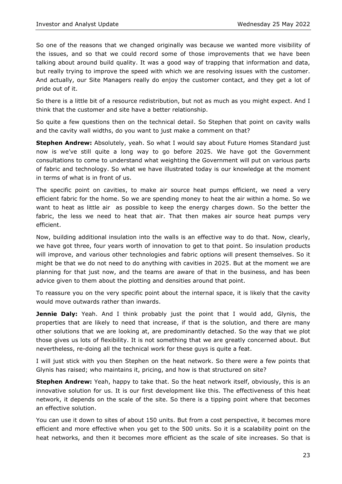So one of the reasons that we changed originally was because we wanted more visibility of the issues, and so that we could record some of those improvements that we have been talking about around build quality. It was a good way of trapping that information and data, but really trying to improve the speed with which we are resolving issues with the customer. And actually, our Site Managers really do enjoy the customer contact, and they get a lot of pride out of it.

So there is a little bit of a resource redistribution, but not as much as you might expect. And I think that the customer and site have a better relationship.

So quite a few questions then on the technical detail. So Stephen that point on cavity walls and the cavity wall widths, do you want to just make a comment on that?

**Stephen Andrew:** Absolutely, yeah. So what I would say about Future Homes Standard just now is we've still quite a long way to go before 2025. We have got the Government consultations to come to understand what weighting the Government will put on various parts of fabric and technology. So what we have illustrated today is our knowledge at the moment in terms of what is in front of us.

The specific point on cavities, to make air source heat pumps efficient, we need a very efficient fabric for the home. So we are spending money to heat the air within a home. So we want to heat as little air as possible to keep the energy charges down. So the better the fabric, the less we need to heat that air. That then makes air source heat pumps very efficient.

Now, building additional insulation into the walls is an effective way to do that. Now, clearly, we have got three, four years worth of innovation to get to that point. So insulation products will improve, and various other technologies and fabric options will present themselves. So it might be that we do not need to do anything with cavities in 2025. But at the moment we are planning for that just now, and the teams are aware of that in the business, and has been advice given to them about the plotting and densities around that point.

To reassure you on the very specific point about the internal space, it is likely that the cavity would move outwards rather than inwards.

**Jennie Daly:** Yeah. And I think probably just the point that I would add, Glynis, the properties that are likely to need that increase, if that is the solution, and there are many other solutions that we are looking at, are predominantly detached. So the way that we plot those gives us lots of flexibility. It is not something that we are greatly concerned about. But nevertheless, re-doing all the technical work for these guys is quite a feat.

I will just stick with you then Stephen on the heat network. So there were a few points that Glynis has raised; who maintains it, pricing, and how is that structured on site?

**Stephen Andrew:** Yeah, happy to take that. So the heat network itself, obviously, this is an innovative solution for us. It is our first development like this. The effectiveness of this heat network, it depends on the scale of the site. So there is a tipping point where that becomes an effective solution.

You can use it down to sites of about 150 units. But from a cost perspective, it becomes more efficient and more effective when you get to the 500 units. So it is a scalability point on the heat networks, and then it becomes more efficient as the scale of site increases. So that is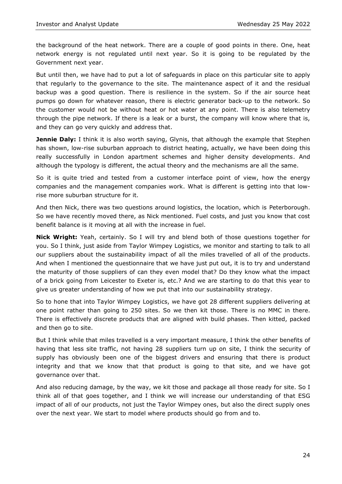the background of the heat network. There are a couple of good points in there. One, heat network energy is not regulated until next year. So it is going to be regulated by the Government next year.

But until then, we have had to put a lot of safeguards in place on this particular site to apply that regularly to the governance to the site. The maintenance aspect of it and the residual backup was a good question. There is resilience in the system. So if the air source heat pumps go down for whatever reason, there is electric generator back-up to the network. So the customer would not be without heat or hot water at any point. There is also telemetry through the pipe network. If there is a leak or a burst, the company will know where that is, and they can go very quickly and address that.

**Jennie Daly:** I think it is also worth saying, Glynis, that although the example that Stephen has shown, low-rise suburban approach to district heating, actually, we have been doing this really successfully in London apartment schemes and higher density developments. And although the typology is different, the actual theory and the mechanisms are all the same.

So it is quite tried and tested from a customer interface point of view, how the energy companies and the management companies work. What is different is getting into that lowrise more suburban structure for it.

And then Nick, there was two questions around logistics, the location, which is Peterborough. So we have recently moved there, as Nick mentioned. Fuel costs, and just you know that cost benefit balance is it moving at all with the increase in fuel.

**Nick Wright:** Yeah, certainly. So I will try and blend both of those questions together for you. So I think, just aside from Taylor Wimpey Logistics, we monitor and starting to talk to all our suppliers about the sustainability impact of all the miles travelled of all of the products. And when I mentioned the questionnaire that we have just put out, it is to try and understand the maturity of those suppliers of can they even model that? Do they know what the impact of a brick going from Leicester to Exeter is, etc.? And we are starting to do that this year to give us greater understanding of how we put that into our sustainability strategy.

So to hone that into Taylor Wimpey Logistics, we have got 28 different suppliers delivering at one point rather than going to 250 sites. So we then kit those. There is no MMC in there. There is effectively discrete products that are aligned with build phases. Then kitted, packed and then go to site.

But I think while that miles travelled is a very important measure, I think the other benefits of having that less site traffic, not having 28 suppliers turn up on site, I think the security of supply has obviously been one of the biggest drivers and ensuring that there is product integrity and that we know that that product is going to that site, and we have got governance over that.

And also reducing damage, by the way, we kit those and package all those ready for site. So I think all of that goes together, and I think we will increase our understanding of that ESG impact of all of our products, not just the Taylor Wimpey ones, but also the direct supply ones over the next year. We start to model where products should go from and to.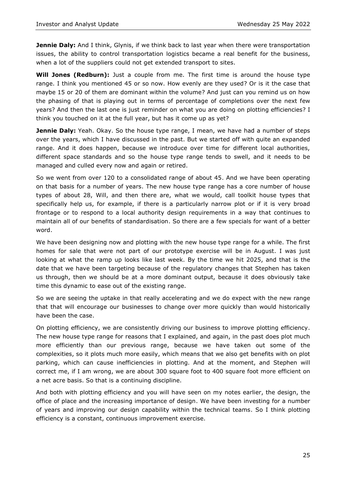**Jennie Daly:** And I think, Glynis, if we think back to last year when there were transportation issues, the ability to control transportation logistics became a real benefit for the business, when a lot of the suppliers could not get extended transport to sites.

**Will Jones (Redburn):** Just a couple from me. The first time is around the house type range. I think you mentioned 45 or so now. How evenly are they used? Or is it the case that maybe 15 or 20 of them are dominant within the volume? And just can you remind us on how the phasing of that is playing out in terms of percentage of completions over the next few years? And then the last one is just reminder on what you are doing on plotting efficiencies? I think you touched on it at the full year, but has it come up as yet?

**Jennie Daly:** Yeah. Okay. So the house type range, I mean, we have had a number of steps over the years, which I have discussed in the past. But we started off with quite an expanded range. And it does happen, because we introduce over time for different local authorities, different space standards and so the house type range tends to swell, and it needs to be managed and culled every now and again or retired.

So we went from over 120 to a consolidated range of about 45. And we have been operating on that basis for a number of years. The new house type range has a core number of house types of about 28, Will, and then there are, what we would, call toolkit house types that specifically help us, for example, if there is a particularly narrow plot or if it is very broad frontage or to respond to a local authority design requirements in a way that continues to maintain all of our benefits of standardisation. So there are a few specials for want of a better word.

We have been designing now and plotting with the new house type range for a while. The first homes for sale that were not part of our prototype exercise will be in August. I was just looking at what the ramp up looks like last week. By the time we hit 2025, and that is the date that we have been targeting because of the regulatory changes that Stephen has taken us through, then we should be at a more dominant output, because it does obviously take time this dynamic to ease out of the existing range.

So we are seeing the uptake in that really accelerating and we do expect with the new range that that will encourage our businesses to change over more quickly than would historically have been the case.

On plotting efficiency, we are consistently driving our business to improve plotting efficiency. The new house type range for reasons that I explained, and again, in the past does plot much more efficiently than our previous range, because we have taken out some of the complexities, so it plots much more easily, which means that we also get benefits with on plot parking, which can cause inefficiencies in plotting. And at the moment, and Stephen will correct me, if I am wrong, we are about 300 square foot to 400 square foot more efficient on a net acre basis. So that is a continuing discipline.

And both with plotting efficiency and you will have seen on my notes earlier, the design, the office of place and the increasing importance of design. We have been investing for a number of years and improving our design capability within the technical teams. So I think plotting efficiency is a constant, continuous improvement exercise.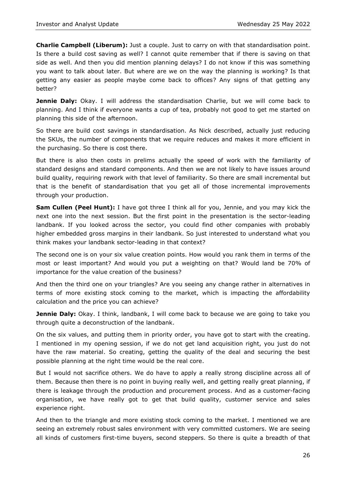**Charlie Campbell (Liberum):** Just a couple. Just to carry on with that standardisation point. Is there a build cost saving as well? I cannot quite remember that if there is saving on that side as well. And then you did mention planning delays? I do not know if this was something you want to talk about later. But where are we on the way the planning is working? Is that getting any easier as people maybe come back to offices? Any signs of that getting any better?

**Jennie Daly:** Okay. I will address the standardisation Charlie, but we will come back to planning. And I think if everyone wants a cup of tea, probably not good to get me started on planning this side of the afternoon.

So there are build cost savings in standardisation. As Nick described, actually just reducing the SKUs, the number of components that we require reduces and makes it more efficient in the purchasing. So there is cost there.

But there is also then costs in prelims actually the speed of work with the familiarity of standard designs and standard components. And then we are not likely to have issues around build quality, requiring rework with that level of familiarity. So there are small incremental but that is the benefit of standardisation that you get all of those incremental improvements through your production.

**Sam Cullen (Peel Hunt):** I have got three I think all for you, Jennie, and you may kick the next one into the next session. But the first point in the presentation is the sector-leading landbank. If you looked across the sector, you could find other companies with probably higher embedded gross margins in their landbank. So just interested to understand what you think makes your landbank sector-leading in that context?

The second one is on your six value creation points. How would you rank them in terms of the most or least important? And would you put a weighting on that? Would land be 70% of importance for the value creation of the business?

And then the third one on your triangles? Are you seeing any change rather in alternatives in terms of more existing stock coming to the market, which is impacting the affordability calculation and the price you can achieve?

**Jennie Daly:** Okay. I think, landbank, I will come back to because we are going to take you through quite a deconstruction of the landbank.

On the six values, and putting them in priority order, you have got to start with the creating. I mentioned in my opening session, if we do not get land acquisition right, you just do not have the raw material. So creating, getting the quality of the deal and securing the best possible planning at the right time would be the real core.

But I would not sacrifice others. We do have to apply a really strong discipline across all of them. Because then there is no point in buying really well, and getting really great planning, if there is leakage through the production and procurement process. And as a customer-facing organisation, we have really got to get that build quality, customer service and sales experience right.

And then to the triangle and more existing stock coming to the market. I mentioned we are seeing an extremely robust sales environment with very committed customers. We are seeing all kinds of customers first-time buyers, second steppers. So there is quite a breadth of that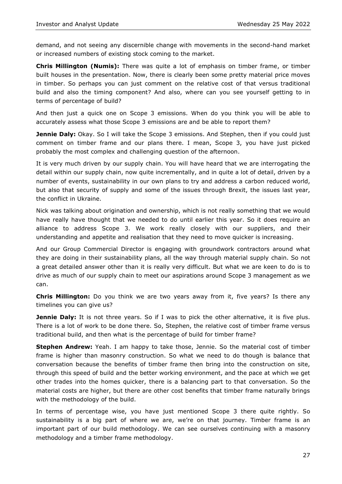demand, and not seeing any discernible change with movements in the second-hand market or increased numbers of existing stock coming to the market.

**Chris Millington (Numis):** There was quite a lot of emphasis on timber frame, or timber built houses in the presentation. Now, there is clearly been some pretty material price moves in timber. So perhaps you can just comment on the relative cost of that versus traditional build and also the timing component? And also, where can you see yourself getting to in terms of percentage of build?

And then just a quick one on Scope 3 emissions. When do you think you will be able to accurately assess what those Scope 3 emissions are and be able to report them?

**Jennie Daly:** Okay. So I will take the Scope 3 emissions. And Stephen, then if you could just comment on timber frame and our plans there. I mean, Scope 3, you have just picked probably the most complex and challenging question of the afternoon.

It is very much driven by our supply chain. You will have heard that we are interrogating the detail within our supply chain, now quite incrementally, and in quite a lot of detail, driven by a number of events, sustainability in our own plans to try and address a carbon reduced world, but also that security of supply and some of the issues through Brexit, the issues last year, the conflict in Ukraine.

Nick was talking about origination and ownership, which is not really something that we would have really have thought that we needed to do until earlier this year. So it does require an alliance to address Scope 3. We work really closely with our suppliers, and their understanding and appetite and realisation that they need to move quicker is increasing.

And our Group Commercial Director is engaging with groundwork contractors around what they are doing in their sustainability plans, all the way through material supply chain. So not a great detailed answer other than it is really very difficult. But what we are keen to do is to drive as much of our supply chain to meet our aspirations around Scope 3 management as we can.

**Chris Millington:** Do you think we are two years away from it, five years? Is there any timelines you can give us?

**Jennie Daly:** It is not three years. So if I was to pick the other alternative, it is five plus. There is a lot of work to be done there. So, Stephen, the relative cost of timber frame versus traditional build, and then what is the percentage of build for timber frame?

**Stephen Andrew:** Yeah. I am happy to take those, Jennie. So the material cost of timber frame is higher than masonry construction. So what we need to do though is balance that conversation because the benefits of timber frame then bring into the construction on site, through this speed of build and the better working environment, and the pace at which we get other trades into the homes quicker, there is a balancing part to that conversation. So the material costs are higher, but there are other cost benefits that timber frame naturally brings with the methodology of the build.

In terms of percentage wise, you have just mentioned Scope 3 there quite rightly. So sustainability is a big part of where we are, we're on that journey. Timber frame is an important part of our build methodology. We can see ourselves continuing with a masonry methodology and a timber frame methodology.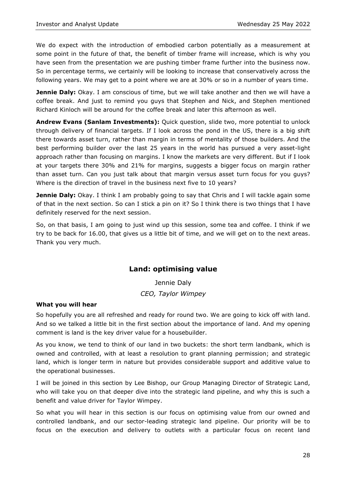We do expect with the introduction of embodied carbon potentially as a measurement at some point in the future of that, the benefit of timber frame will increase, which is why you have seen from the presentation we are pushing timber frame further into the business now. So in percentage terms, we certainly will be looking to increase that conservatively across the following years. We may get to a point where we are at 30% or so in a number of years time.

**Jennie Daly:** Okay. I am conscious of time, but we will take another and then we will have a coffee break. And just to remind you guys that Stephen and Nick, and Stephen mentioned Richard Kinloch will be around for the coffee break and later this afternoon as well.

**Andrew Evans (Sanlam Investments):** Quick question, slide two, more potential to unlock through delivery of financial targets. If I look across the pond in the US, there is a big shift there towards asset turn, rather than margin in terms of mentality of those builders. And the best performing builder over the last 25 years in the world has pursued a very asset-light approach rather than focusing on margins. I know the markets are very different. But if I look at your targets there 30% and 21% for margins, suggests a bigger focus on margin rather than asset turn. Can you just talk about that margin versus asset turn focus for you guys? Where is the direction of travel in the business next five to 10 years?

**Jennie Daly:** Okay. I think I am probably going to say that Chris and I will tackle again some of that in the next section. So can I stick a pin on it? So I think there is two things that I have definitely reserved for the next session.

So, on that basis, I am going to just wind up this session, some tea and coffee. I think if we try to be back for 16.00, that gives us a little bit of time, and we will get on to the next areas. Thank you very much.

# **Land: optimising value**

Jennie Daly *CEO, Taylor Wimpey*

# **What you will hear**

So hopefully you are all refreshed and ready for round two. We are going to kick off with land. And so we talked a little bit in the first section about the importance of land. And my opening comment is land is the key driver value for a housebuilder.

As you know, we tend to think of our land in two buckets: the short term landbank, which is owned and controlled, with at least a resolution to grant planning permission; and strategic land, which is longer term in nature but provides considerable support and additive value to the operational businesses.

I will be joined in this section by Lee Bishop, our Group Managing Director of Strategic Land, who will take you on that deeper dive into the strategic land pipeline, and why this is such a benefit and value driver for Taylor Wimpey.

So what you will hear in this section is our focus on optimising value from our owned and controlled landbank, and our sector-leading strategic land pipeline. Our priority will be to focus on the execution and delivery to outlets with a particular focus on recent land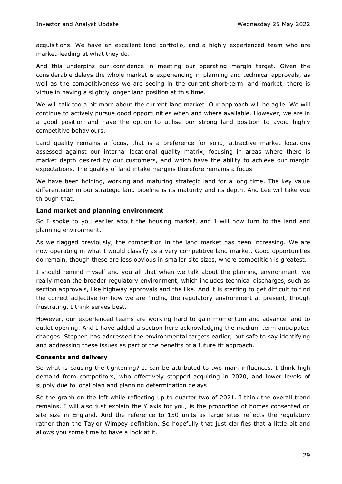acquisitions. We have an excellent land portfolio, and a highly experienced team who are market-leading at what they do.

And this underpins our confidence in meeting our operating margin target. Given the considerable delays the whole market is experiencing in planning and technical approvals, as well as the competitiveness we are seeing in the current short-term land market, there is virtue in having a slightly longer land position at this time.

We will talk too a bit more about the current land market. Our approach will be agile. We will continue to actively pursue good opportunities when and where available. However, we are in a good position and have the option to utilise our strong land position to avoid highly competitive behaviours.

Land quality remains a focus, that is a preference for solid, attractive market locations assessed against our internal locational quality matrix, focusing in areas where there is market depth desired by our customers, and which have the ability to achieve our margin expectations. The quality of land intake margins therefore remains a focus.

We have been holding, working and maturing strategic land for a long time. The key value differentiator in our strategic land pipeline is its maturity and its depth. And Lee will take you through that.

#### **Land market and planning environment**

So I spoke to you earlier about the housing market, and I will now turn to the land and planning environment.

As we flagged previously, the competition in the land market has been increasing. We are now operating in what I would classify as a very competitive land market. Good opportunities do remain, though these are less obvious in smaller site sizes, where competition is greatest.

I should remind myself and you all that when we talk about the planning environment, we really mean the broader regulatory environment, which includes technical discharges, such as section approvals, like highway approvals and the like. And it is starting to get difficult to find the correct adjective for how we are finding the regulatory environment at present, though frustrating, I think serves best.

However, our experienced teams are working hard to gain momentum and advance land to outlet opening. And I have added a section here acknowledging the medium term anticipated changes. Stephen has addressed the environmental targets earlier, but safe to say identifying and addressing these issues as part of the benefits of a future fit approach.

#### **Consents and delivery**

So what is causing the tightening? It can be attributed to two main influences. I think high demand from competitors, who effectively stopped acquiring in 2020, and lower levels of supply due to local plan and planning determination delays.

So the graph on the left while reflecting up to quarter two of 2021. I think the overall trend remains. I will also just explain the Y axis for you, is the proportion of homes consented on site size in England. And the reference to 150 units as large sites reflects the regulatory rather than the Taylor Wimpey definition. So hopefully that just clarifies that a little bit and allows you some time to have a look at it.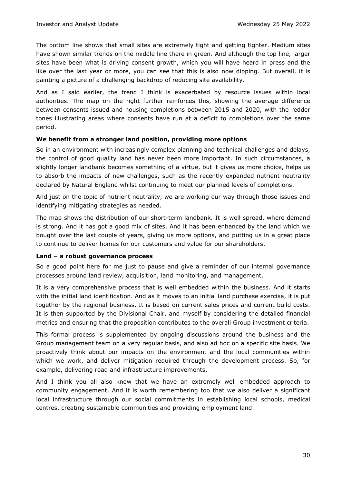The bottom line shows that small sites are extremely tight and getting tighter. Medium sites have shown similar trends on the middle line there in green. And although the top line, larger sites have been what is driving consent growth, which you will have heard in press and the like over the last year or more, you can see that this is also now dipping. But overall, it is painting a picture of a challenging backdrop of reducing site availability.

And as I said earlier, the trend I think is exacerbated by resource issues within local authorities. The map on the right further reinforces this, showing the average difference between consents issued and housing completions between 2015 and 2020, with the redder tones illustrating areas where consents have run at a deficit to completions over the same period.

## **We benefit from a stronger land position, providing more options**

So in an environment with increasingly complex planning and technical challenges and delays, the control of good quality land has never been more important. In such circumstances, a slightly longer landbank becomes something of a virtue, but it gives us more choice, helps us to absorb the impacts of new challenges, such as the recently expanded nutrient neutrality declared by Natural England whilst continuing to meet our planned levels of completions.

And just on the topic of nutrient neutrality, we are working our way through those issues and identifying mitigating strategies as needed.

The map shows the distribution of our short-term landbank. It is well spread, where demand is strong. And it has got a good mix of sites. And it has been enhanced by the land which we bought over the last couple of years, giving us more options, and putting us in a great place to continue to deliver homes for our customers and value for our shareholders.

#### **Land – a robust governance process**

So a good point here for me just to pause and give a reminder of our internal governance processes around land review, acquisition, land monitoring, and management.

It is a very comprehensive process that is well embedded within the business. And it starts with the initial land identification. And as it moves to an initial land purchase exercise, it is put together by the regional business. It is based on current sales prices and current build costs. It is then supported by the Divisional Chair, and myself by considering the detailed financial metrics and ensuring that the proposition contributes to the overall Group investment criteria.

This formal process is supplemented by ongoing discussions around the business and the Group management team on a very regular basis, and also ad hoc on a specific site basis. We proactively think about our impacts on the environment and the local communities within which we work, and deliver mitigation required through the development process. So, for example, delivering road and infrastructure improvements.

And I think you all also know that we have an extremely well embedded approach to community engagement. And it is worth remembering too that we also deliver a significant local infrastructure through our social commitments in establishing local schools, medical centres, creating sustainable communities and providing employment land.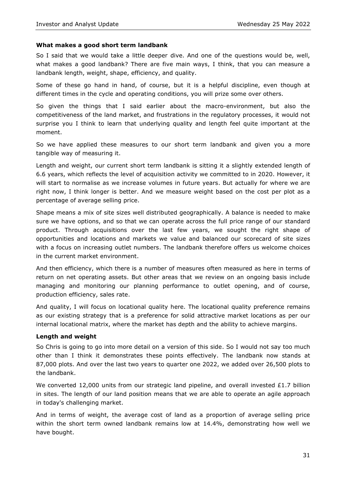#### **What makes a good short term landbank**

So I said that we would take a little deeper dive. And one of the questions would be, well, what makes a good landbank? There are five main ways, I think, that you can measure a landbank length, weight, shape, efficiency, and quality.

Some of these go hand in hand, of course, but it is a helpful discipline, even though at different times in the cycle and operating conditions, you will prize some over others.

So given the things that I said earlier about the macro-environment, but also the competitiveness of the land market, and frustrations in the regulatory processes, it would not surprise you I think to learn that underlying quality and length feel quite important at the moment.

So we have applied these measures to our short term landbank and given you a more tangible way of measuring it.

Length and weight, our current short term landbank is sitting it a slightly extended length of 6.6 years, which reflects the level of acquisition activity we committed to in 2020. However, it will start to normalise as we increase volumes in future years. But actually for where we are right now, I think longer is better. And we measure weight based on the cost per plot as a percentage of average selling price.

Shape means a mix of site sizes well distributed geographically. A balance is needed to make sure we have options, and so that we can operate across the full price range of our standard product. Through acquisitions over the last few years, we sought the right shape of opportunities and locations and markets we value and balanced our scorecard of site sizes with a focus on increasing outlet numbers. The landbank therefore offers us welcome choices in the current market environment.

And then efficiency, which there is a number of measures often measured as here in terms of return on net operating assets. But other areas that we review on an ongoing basis include managing and monitoring our planning performance to outlet opening, and of course, production efficiency, sales rate.

And quality, I will focus on locational quality here. The locational quality preference remains as our existing strategy that is a preference for solid attractive market locations as per our internal locational matrix, where the market has depth and the ability to achieve margins.

#### **Length and weight**

So Chris is going to go into more detail on a version of this side. So I would not say too much other than I think it demonstrates these points effectively. The landbank now stands at 87,000 plots. And over the last two years to quarter one 2022, we added over 26,500 plots to the landbank.

We converted 12,000 units from our strategic land pipeline, and overall invested £1.7 billion in sites. The length of our land position means that we are able to operate an agile approach in today's challenging market.

And in terms of weight, the average cost of land as a proportion of average selling price within the short term owned landbank remains low at 14.4%, demonstrating how well we have bought.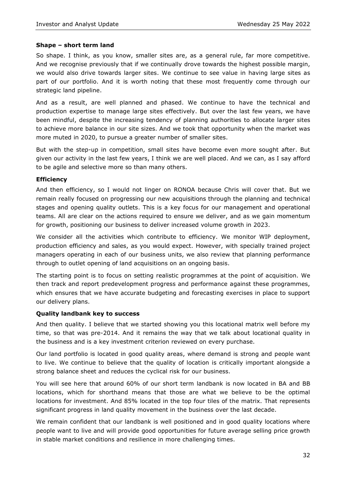#### **Shape – short term land**

So shape. I think, as you know, smaller sites are, as a general rule, far more competitive. And we recognise previously that if we continually drove towards the highest possible margin, we would also drive towards larger sites. We continue to see value in having large sites as part of our portfolio. And it is worth noting that these most frequently come through our strategic land pipeline.

And as a result, are well planned and phased. We continue to have the technical and production expertise to manage large sites effectively. But over the last few years, we have been mindful, despite the increasing tendency of planning authorities to allocate larger sites to achieve more balance in our site sizes. And we took that opportunity when the market was more muted in 2020, to pursue a greater number of smaller sites.

But with the step-up in competition, small sites have become even more sought after. But given our activity in the last few years, I think we are well placed. And we can, as I say afford to be agile and selective more so than many others.

#### **Efficiency**

And then efficiency, so I would not linger on RONOA because Chris will cover that. But we remain really focused on progressing our new acquisitions through the planning and technical stages and opening quality outlets. This is a key focus for our management and operational teams. All are clear on the actions required to ensure we deliver, and as we gain momentum for growth, positioning our business to deliver increased volume growth in 2023.

We consider all the activities which contribute to efficiency. We monitor WIP deployment, production efficiency and sales, as you would expect. However, with specially trained project managers operating in each of our business units, we also review that planning performance through to outlet opening of land acquisitions on an ongoing basis.

The starting point is to focus on setting realistic programmes at the point of acquisition. We then track and report predevelopment progress and performance against these programmes, which ensures that we have accurate budgeting and forecasting exercises in place to support our delivery plans.

#### **Quality landbank key to success**

And then quality. I believe that we started showing you this locational matrix well before my time, so that was pre-2014. And it remains the way that we talk about locational quality in the business and is a key investment criterion reviewed on every purchase.

Our land portfolio is located in good quality areas, where demand is strong and people want to live. We continue to believe that the quality of location is critically important alongside a strong balance sheet and reduces the cyclical risk for our business.

You will see here that around 60% of our short term landbank is now located in BA and BB locations, which for shorthand means that those are what we believe to be the optimal locations for investment. And 85% located in the top four tiles of the matrix. That represents significant progress in land quality movement in the business over the last decade.

We remain confident that our landbank is well positioned and in good quality locations where people want to live and will provide good opportunities for future average selling price growth in stable market conditions and resilience in more challenging times.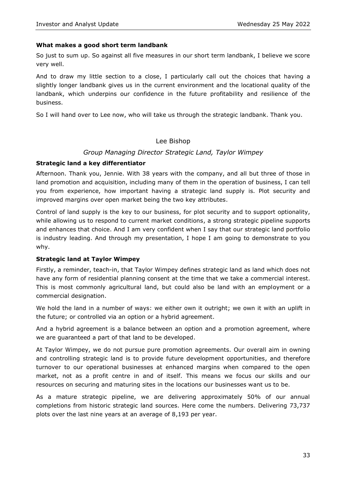#### **What makes a good short term landbank**

So just to sum up. So against all five measures in our short term landbank, I believe we score very well.

And to draw my little section to a close, I particularly call out the choices that having a slightly longer landbank gives us in the current environment and the locational quality of the landbank, which underpins our confidence in the future profitability and resilience of the business.

So I will hand over to Lee now, who will take us through the strategic landbank. Thank you.

#### Lee Bishop

#### *Group Managing Director Strategic Land, Taylor Wimpey*

#### **Strategic land a key differentiator**

Afternoon. Thank you, Jennie. With 38 years with the company, and all but three of those in land promotion and acquisition, including many of them in the operation of business, I can tell you from experience, how important having a strategic land supply is. Plot security and improved margins over open market being the two key attributes.

Control of land supply is the key to our business, for plot security and to support optionality, while allowing us to respond to current market conditions, a strong strategic pipeline supports and enhances that choice. And I am very confident when I say that our strategic land portfolio is industry leading. And through my presentation, I hope I am going to demonstrate to you why.

#### **Strategic land at Taylor Wimpey**

Firstly, a reminder, teach-in, that Taylor Wimpey defines strategic land as land which does not have any form of residential planning consent at the time that we take a commercial interest. This is most commonly agricultural land, but could also be land with an employment or a commercial designation.

We hold the land in a number of ways: we either own it outright; we own it with an uplift in the future; or controlled via an option or a hybrid agreement.

And a hybrid agreement is a balance between an option and a promotion agreement, where we are guaranteed a part of that land to be developed.

At Taylor Wimpey, we do not pursue pure promotion agreements. Our overall aim in owning and controlling strategic land is to provide future development opportunities, and therefore turnover to our operational businesses at enhanced margins when compared to the open market, not as a profit centre in and of itself. This means we focus our skills and our resources on securing and maturing sites in the locations our businesses want us to be.

As a mature strategic pipeline, we are delivering approximately 50% of our annual completions from historic strategic land sources. Here come the numbers. Delivering 73,737 plots over the last nine years at an average of 8,193 per year.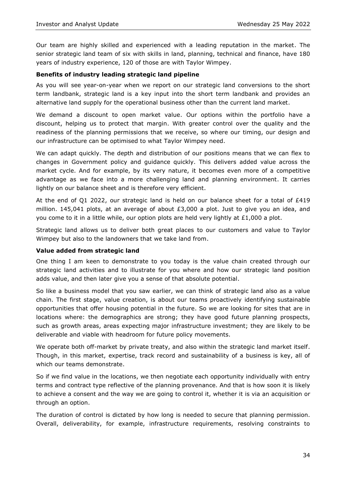Our team are highly skilled and experienced with a leading reputation in the market. The senior strategic land team of six with skills in land, planning, technical and finance, have 180 years of industry experience, 120 of those are with Taylor Wimpey.

#### **Benefits of industry leading strategic land pipeline**

As you will see year-on-year when we report on our strategic land conversions to the short term landbank, strategic land is a key input into the short term landbank and provides an alternative land supply for the operational business other than the current land market.

We demand a discount to open market value. Our options within the portfolio have a discount, helping us to protect that margin. With greater control over the quality and the readiness of the planning permissions that we receive, so where our timing, our design and our infrastructure can be optimised to what Taylor Wimpey need.

We can adapt quickly. The depth and distribution of our positions means that we can flex to changes in Government policy and guidance quickly. This delivers added value across the market cycle. And for example, by its very nature, it becomes even more of a competitive advantage as we face into a more challenging land and planning environment. It carries lightly on our balance sheet and is therefore very efficient.

At the end of Q1 2022, our strategic land is held on our balance sheet for a total of £419 million. 145,041 plots, at an average of about  $£3,000$  a plot. Just to give you an idea, and you come to it in a little while, our option plots are held very lightly at £1,000 a plot.

Strategic land allows us to deliver both great places to our customers and value to Taylor Wimpey but also to the landowners that we take land from.

#### **Value added from strategic land**

One thing I am keen to demonstrate to you today is the value chain created through our strategic land activities and to illustrate for you where and how our strategic land position adds value, and then later give you a sense of that absolute potential.

So like a business model that you saw earlier, we can think of strategic land also as a value chain. The first stage, value creation, is about our teams proactively identifying sustainable opportunities that offer housing potential in the future. So we are looking for sites that are in locations where: the demographics are strong; they have good future planning prospects, such as growth areas, areas expecting major infrastructure investment; they are likely to be deliverable and viable with headroom for future policy movements.

We operate both off-market by private treaty, and also within the strategic land market itself. Though, in this market, expertise, track record and sustainability of a business is key, all of which our teams demonstrate.

So if we find value in the locations, we then negotiate each opportunity individually with entry terms and contract type reflective of the planning provenance. And that is how soon it is likely to achieve a consent and the way we are going to control it, whether it is via an acquisition or through an option.

The duration of control is dictated by how long is needed to secure that planning permission. Overall, deliverability, for example, infrastructure requirements, resolving constraints to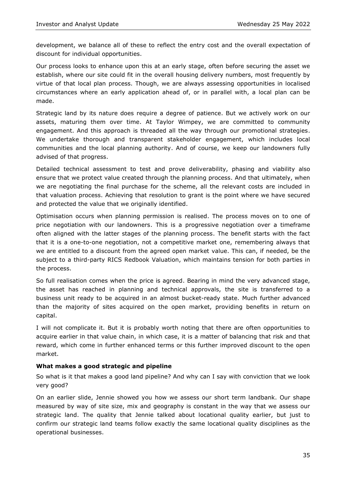development, we balance all of these to reflect the entry cost and the overall expectation of discount for individual opportunities.

Our process looks to enhance upon this at an early stage, often before securing the asset we establish, where our site could fit in the overall housing delivery numbers, most frequently by virtue of that local plan process. Though, we are always assessing opportunities in localised circumstances where an early application ahead of, or in parallel with, a local plan can be made.

Strategic land by its nature does require a degree of patience. But we actively work on our assets, maturing them over time. At Taylor Wimpey, we are committed to community engagement. And this approach is threaded all the way through our promotional strategies. We undertake thorough and transparent stakeholder engagement, which includes local communities and the local planning authority. And of course, we keep our landowners fully advised of that progress.

Detailed technical assessment to test and prove deliverability, phasing and viability also ensure that we protect value created through the planning process. And that ultimately, when we are negotiating the final purchase for the scheme, all the relevant costs are included in that valuation process. Achieving that resolution to grant is the point where we have secured and protected the value that we originally identified.

Optimisation occurs when planning permission is realised. The process moves on to one of price negotiation with our landowners. This is a progressive negotiation over a timeframe often aligned with the latter stages of the planning process. The benefit starts with the fact that it is a one-to-one negotiation, not a competitive market one, remembering always that we are entitled to a discount from the agreed open market value. This can, if needed, be the subject to a third-party RICS Redbook Valuation, which maintains tension for both parties in the process.

So full realisation comes when the price is agreed. Bearing in mind the very advanced stage, the asset has reached in planning and technical approvals, the site is transferred to a business unit ready to be acquired in an almost bucket-ready state. Much further advanced than the majority of sites acquired on the open market, providing benefits in return on capital.

I will not complicate it. But it is probably worth noting that there are often opportunities to acquire earlier in that value chain, in which case, it is a matter of balancing that risk and that reward, which come in further enhanced terms or this further improved discount to the open market.

#### **What makes a good strategic and pipeline**

So what is it that makes a good land pipeline? And why can I say with conviction that we look very good?

On an earlier slide, Jennie showed you how we assess our short term landbank. Our shape measured by way of site size, mix and geography is constant in the way that we assess our strategic land. The quality that Jennie talked about locational quality earlier, but just to confirm our strategic land teams follow exactly the same locational quality disciplines as the operational businesses.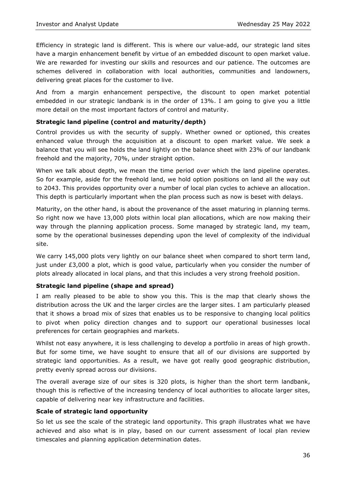Efficiency in strategic land is different. This is where our value-add, our strategic land sites have a margin enhancement benefit by virtue of an embedded discount to open market value. We are rewarded for investing our skills and resources and our patience. The outcomes are schemes delivered in collaboration with local authorities, communities and landowners, delivering great places for the customer to live.

And from a margin enhancement perspective, the discount to open market potential embedded in our strategic landbank is in the order of 13%. I am going to give you a little more detail on the most important factors of control and maturity.

#### **Strategic land pipeline (control and maturity/depth)**

Control provides us with the security of supply. Whether owned or optioned, this creates enhanced value through the acquisition at a discount to open market value. We seek a balance that you will see holds the land lightly on the balance sheet with 23% of our landbank freehold and the majority, 70%, under straight option.

When we talk about depth, we mean the time period over which the land pipeline operates. So for example, aside for the freehold land, we hold option positions on land all the way out to 2043. This provides opportunity over a number of local plan cycles to achieve an allocation. This depth is particularly important when the plan process such as now is beset with delays.

Maturity, on the other hand, is about the provenance of the asset maturing in planning terms. So right now we have 13,000 plots within local plan allocations, which are now making their way through the planning application process. Some managed by strategic land, my team, some by the operational businesses depending upon the level of complexity of the individual site.

We carry 145,000 plots very lightly on our balance sheet when compared to short term land, just under £3,000 a plot, which is good value, particularly when you consider the number of plots already allocated in local plans, and that this includes a very strong freehold position.

#### **Strategic land pipeline (shape and spread)**

I am really pleased to be able to show you this. This is the map that clearly shows the distribution across the UK and the larger circles are the larger sites. I am particularly pleased that it shows a broad mix of sizes that enables us to be responsive to changing local politics to pivot when policy direction changes and to support our operational businesses local preferences for certain geographies and markets.

Whilst not easy anywhere, it is less challenging to develop a portfolio in areas of high growth. But for some time, we have sought to ensure that all of our divisions are supported by strategic land opportunities. As a result, we have got really good geographic distribution, pretty evenly spread across our divisions.

The overall average size of our sites is 320 plots, is higher than the short term landbank, though this is reflective of the increasing tendency of local authorities to allocate larger sites, capable of delivering near key infrastructure and facilities.

#### **Scale of strategic land opportunity**

So let us see the scale of the strategic land opportunity. This graph illustrates what we have achieved and also what is in play, based on our current assessment of local plan review timescales and planning application determination dates.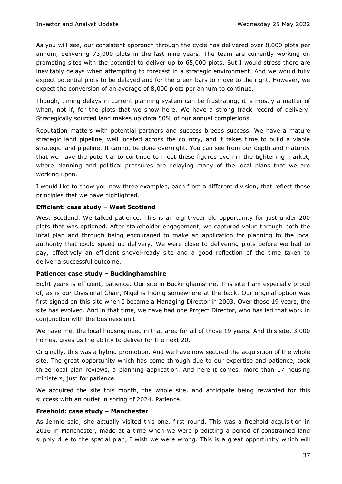As you will see, our consistent approach through the cycle has delivered over 8,000 plots per annum, delivering 73,000 plots in the last nine years. The team are currently working on promoting sites with the potential to deliver up to 65,000 plots. But I would stress there are inevitably delays when attempting to forecast in a strategic environment. And we would fully expect potential plots to be delayed and for the green bars to move to the right. However, we expect the conversion of an average of 8,000 plots per annum to continue.

Though, timing delays in current planning system can be frustrating, it is mostly a matter of when, not if, for the plots that we show here. We have a strong track record of delivery. Strategically sourced land makes up circa 50% of our annual completions.

Reputation matters with potential partners and success breeds success. We have a mature strategic land pipeline, well located across the country, and it takes time to build a viable strategic land pipeline. It cannot be done overnight. You can see from our depth and maturity that we have the potential to continue to meet these figures even in the tightening market, where planning and political pressures are delaying many of the local plans that we are working upon.

I would like to show you now three examples, each from a different division, that reflect these principles that we have highlighted.

#### **Efficient: case study – West Scotland**

West Scotland. We talked patience. This is an eight-year old opportunity for just under 200 plots that was optioned. After stakeholder engagement, we captured value through both the local plan and through being encouraged to make an application for planning to the local authority that could speed up delivery. We were close to delivering plots before we had to pay, effectively an efficient shovel-ready site and a good reflection of the time taken to deliver a successful outcome.

#### **Patience: case study – Buckinghamshire**

Eight years is efficient, patience. Our site in Buckinghamshire. This site I am especially proud of, as is our Divisional Chair, Nigel is hiding somewhere at the back. Our original option was first signed on this site when I became a Managing Director in 2003. Over those 19 years, the site has evolved. And in that time, we have had one Project Director, who has led that work in conjunction with the business unit.

We have met the local housing need in that area for all of those 19 years. And this site, 3,000 homes, gives us the ability to deliver for the next 20.

Originally, this was a hybrid promotion. And we have now secured the acquisition of the whole site. The great opportunity which has come through due to our expertise and patience, took three local plan reviews, a planning application. And here it comes, more than 17 housing ministers, just for patience.

We acquired the site this month, the whole site, and anticipate being rewarded for this success with an outlet in spring of 2024. Patience.

#### **Freehold: case study – Manchester**

As Jennie said, she actually visited this one, first round. This was a freehold acquisition in 2016 in Manchester, made at a time when we were predicting a period of constrained land supply due to the spatial plan, I wish we were wrong. This is a great opportunity which will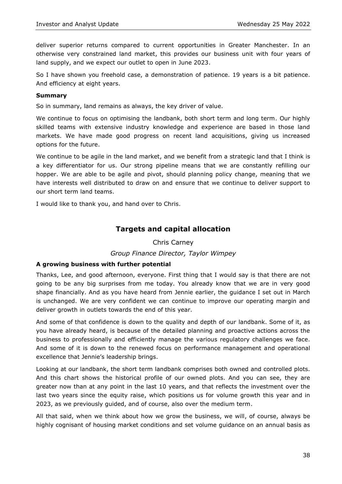deliver superior returns compared to current opportunities in Greater Manchester. In an otherwise very constrained land market, this provides our business unit with four years of land supply, and we expect our outlet to open in June 2023.

So I have shown you freehold case, a demonstration of patience. 19 years is a bit patience. And efficiency at eight years.

#### **Summary**

So in summary, land remains as always, the key driver of value.

We continue to focus on optimising the landbank, both short term and long term. Our highly skilled teams with extensive industry knowledge and experience are based in those land markets. We have made good progress on recent land acquisitions, giving us increased options for the future.

We continue to be agile in the land market, and we benefit from a strategic land that I think is a key differentiator for us. Our strong pipeline means that we are constantly refilling our hopper. We are able to be agile and pivot, should planning policy change, meaning that we have interests well distributed to draw on and ensure that we continue to deliver support to our short term land teams.

I would like to thank you, and hand over to Chris.

# **Targets and capital allocation**

Chris Carney

#### *Group Finance Director, Taylor Wimpey*

#### **A growing business with further potential**

Thanks, Lee, and good afternoon, everyone. First thing that I would say is that there are not going to be any big surprises from me today. You already know that we are in very good shape financially. And as you have heard from Jennie earlier, the guidance I set out in March is unchanged. We are very confident we can continue to improve our operating margin and deliver growth in outlets towards the end of this year.

And some of that confidence is down to the quality and depth of our landbank. Some of it, as you have already heard, is because of the detailed planning and proactive actions across the business to professionally and efficiently manage the various regulatory challenges we face. And some of it is down to the renewed focus on performance management and operational excellence that Jennie's leadership brings.

Looking at our landbank, the short term landbank comprises both owned and controlled plots. And this chart shows the historical profile of our owned plots. And you can see, they are greater now than at any point in the last 10 years, and that reflects the investment over the last two years since the equity raise, which positions us for volume growth this year and in 2023, as we previously guided, and of course, also over the medium term.

All that said, when we think about how we grow the business, we will, of course, always be highly cognisant of housing market conditions and set volume guidance on an annual basis as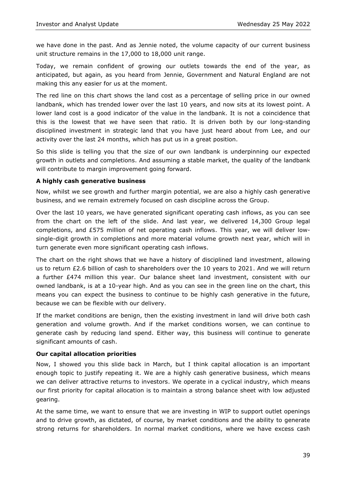we have done in the past. And as Jennie noted, the volume capacity of our current business unit structure remains in the 17,000 to 18,000 unit range.

Today, we remain confident of growing our outlets towards the end of the year, as anticipated, but again, as you heard from Jennie, Government and Natural England are not making this any easier for us at the moment.

The red line on this chart shows the land cost as a percentage of selling price in our owned landbank, which has trended lower over the last 10 years, and now sits at its lowest point. A lower land cost is a good indicator of the value in the landbank. It is not a coincidence that this is the lowest that we have seen that ratio. It is driven both by our long-standing disciplined investment in strategic land that you have just heard about from Lee, and our activity over the last 24 months, which has put us in a great position.

So this slide is telling you that the size of our own landbank is underpinning our expected growth in outlets and completions. And assuming a stable market, the quality of the landbank will contribute to margin improvement going forward.

## **A highly cash generative business**

Now, whilst we see growth and further margin potential, we are also a highly cash generative business, and we remain extremely focused on cash discipline across the Group.

Over the last 10 years, we have generated significant operating cash inflows, as you can see from the chart on the left of the slide. And last year, we delivered 14,300 Group legal completions, and £575 million of net operating cash inflows. This year, we will deliver lowsingle-digit growth in completions and more material volume growth next year, which will in turn generate even more significant operating cash inflows.

The chart on the right shows that we have a history of disciplined land investment, allowing us to return £2.6 billion of cash to shareholders over the 10 years to 2021. And we will return a further £474 million this year. Our balance sheet land investment, consistent with our owned landbank, is at a 10-year high. And as you can see in the green line on the chart, this means you can expect the business to continue to be highly cash generative in the future, because we can be flexible with our delivery.

If the market conditions are benign, then the existing investment in land will drive both cash generation and volume growth. And if the market conditions worsen, we can continue to generate cash by reducing land spend. Either way, this business will continue to generate significant amounts of cash.

#### **Our capital allocation priorities**

Now, I showed you this slide back in March, but I think capital allocation is an important enough topic to justify repeating it. We are a highly cash generative business, which means we can deliver attractive returns to investors. We operate in a cyclical industry, which means our first priority for capital allocation is to maintain a strong balance sheet with low adjusted gearing.

At the same time, we want to ensure that we are investing in WIP to support outlet openings and to drive growth, as dictated, of course, by market conditions and the ability to generate strong returns for shareholders. In normal market conditions, where we have excess cash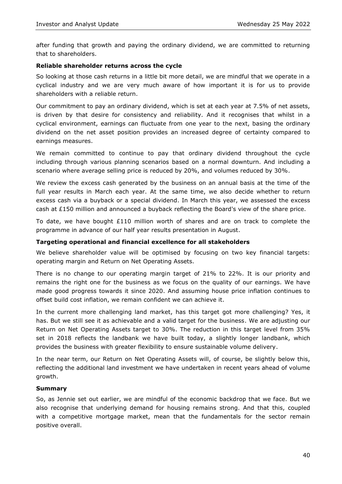after funding that growth and paying the ordinary dividend, we are committed to returning that to shareholders.

#### **Reliable shareholder returns across the cycle**

So looking at those cash returns in a little bit more detail, we are mindful that we operate in a cyclical industry and we are very much aware of how important it is for us to provide shareholders with a reliable return.

Our commitment to pay an ordinary dividend, which is set at each year at 7.5% of net assets, is driven by that desire for consistency and reliability. And it recognises that whilst in a cyclical environment, earnings can fluctuate from one year to the next, basing the ordinary dividend on the net asset position provides an increased degree of certainty compared to earnings measures.

We remain committed to continue to pay that ordinary dividend throughout the cycle including through various planning scenarios based on a normal downturn. And including a scenario where average selling price is reduced by 20%, and volumes reduced by 30%.

We review the excess cash generated by the business on an annual basis at the time of the full year results in March each year. At the same time, we also decide whether to return excess cash via a buyback or a special dividend. In March this year, we assessed the excess cash at £150 million and announced a buyback reflecting the Board's view of the share price.

To date, we have bought £110 million worth of shares and are on track to complete the programme in advance of our half year results presentation in August.

#### **Targeting operational and financial excellence for all stakeholders**

We believe shareholder value will be optimised by focusing on two key financial targets: operating margin and Return on Net Operating Assets.

There is no change to our operating margin target of 21% to 22%. It is our priority and remains the right one for the business as we focus on the quality of our earnings. We have made good progress towards it since 2020. And assuming house price inflation continues to offset build cost inflation, we remain confident we can achieve it.

In the current more challenging land market, has this target got more challenging? Yes, it has. But we still see it as achievable and a valid target for the business. We are adjusting our Return on Net Operating Assets target to 30%. The reduction in this target level from 35% set in 2018 reflects the landbank we have built today, a slightly longer landbank, which provides the business with greater flexibility to ensure sustainable volume delivery.

In the near term, our Return on Net Operating Assets will, of course, be slightly below this, reflecting the additional land investment we have undertaken in recent years ahead of volume growth.

#### **Summary**

So, as Jennie set out earlier, we are mindful of the economic backdrop that we face. But we also recognise that underlying demand for housing remains strong. And that this, coupled with a competitive mortgage market, mean that the fundamentals for the sector remain positive overall.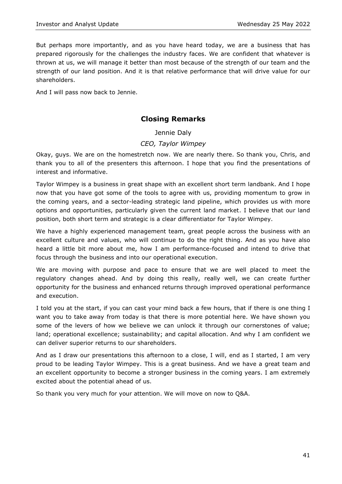But perhaps more importantly, and as you have heard today, we are a business that has prepared rigorously for the challenges the industry faces. We are confident that whatever is thrown at us, we will manage it better than most because of the strength of our team and the strength of our land position. And it is that relative performance that will drive value for our shareholders.

And I will pass now back to Jennie.

# **Closing Remarks**

Jennie Daly

# *CEO, Taylor Wimpey*

Okay, guys. We are on the homestretch now. We are nearly there. So thank you, Chris, and thank you to all of the presenters this afternoon. I hope that you find the presentations of interest and informative.

Taylor Wimpey is a business in great shape with an excellent short term landbank. And I hope now that you have got some of the tools to agree with us, providing momentum to grow in the coming years, and a sector-leading strategic land pipeline, which provides us with more options and opportunities, particularly given the current land market. I believe that our land position, both short term and strategic is a clear differentiator for Taylor Wimpey.

We have a highly experienced management team, great people across the business with an excellent culture and values, who will continue to do the right thing. And as you have also heard a little bit more about me, how I am performance-focused and intend to drive that focus through the business and into our operational execution.

We are moving with purpose and pace to ensure that we are well placed to meet the regulatory changes ahead. And by doing this really, really well, we can create further opportunity for the business and enhanced returns through improved operational performance and execution.

I told you at the start, if you can cast your mind back a few hours, that if there is one thing I want you to take away from today is that there is more potential here. We have shown you some of the levers of how we believe we can unlock it through our cornerstones of value; land; operational excellence; sustainability; and capital allocation. And why I am confident we can deliver superior returns to our shareholders.

And as I draw our presentations this afternoon to a close, I will, end as I started, I am very proud to be leading Taylor Wimpey. This is a great business. And we have a great team and an excellent opportunity to become a stronger business in the coming years. I am extremely excited about the potential ahead of us.

So thank you very much for your attention. We will move on now to Q&A.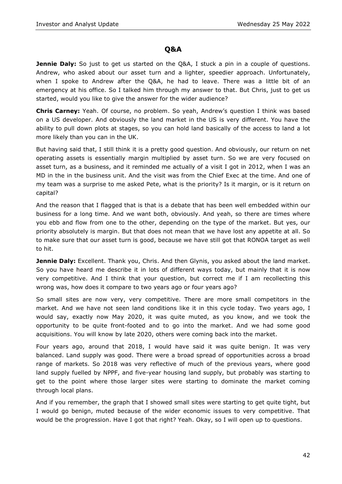# **Q&A**

**Jennie Daly:** So just to get us started on the Q&A, I stuck a pin in a couple of questions. Andrew, who asked about our asset turn and a lighter, speedier approach. Unfortunately, when I spoke to Andrew after the Q&A, he had to leave. There was a little bit of an emergency at his office. So I talked him through my answer to that. But Chris, just to get us started, would you like to give the answer for the wider audience?

**Chris Carney:** Yeah. Of course, no problem. So yeah, Andrew's question I think was based on a US developer. And obviously the land market in the US is very different. You have the ability to pull down plots at stages, so you can hold land basically of the access to land a lot more likely than you can in the UK.

But having said that, I still think it is a pretty good question. And obviously, our return on net operating assets is essentially margin multiplied by asset turn. So we are very focused on asset turn, as a business, and it reminded me actually of a visit I got in 2012, when I was an MD in the in the business unit. And the visit was from the Chief Exec at the time. And one of my team was a surprise to me asked Pete, what is the priority? Is it margin, or is it return on capital?

And the reason that I flagged that is that is a debate that has been well embedded within our business for a long time. And we want both, obviously. And yeah, so there are times where you ebb and flow from one to the other, depending on the type of the market. But yes, our priority absolutely is margin. But that does not mean that we have lost any appetite at all. So to make sure that our asset turn is good, because we have still got that RONOA target as well to hit.

**Jennie Daly:** Excellent. Thank you, Chris. And then Glynis, you asked about the land market. So you have heard me describe it in lots of different ways today, but mainly that it is now very competitive. And I think that your question, but correct me if I am recollecting this wrong was, how does it compare to two years ago or four years ago?

So small sites are now very, very competitive. There are more small competitors in the market. And we have not seen land conditions like it in this cycle today. Two years ago, I would say, exactly now May 2020, it was quite muted, as you know, and we took the opportunity to be quite front-footed and to go into the market. And we had some good acquisitions. You will know by late 2020, others were coming back into the market.

Four years ago, around that 2018, I would have said it was quite benign. It was very balanced. Land supply was good. There were a broad spread of opportunities across a broad range of markets. So 2018 was very reflective of much of the previous years, where good land supply fuelled by NPPF, and five-year housing land supply, but probably was starting to get to the point where those larger sites were starting to dominate the market coming through local plans.

And if you remember, the graph that I showed small sites were starting to get quite tight, but I would go benign, muted because of the wider economic issues to very competitive. That would be the progression. Have I got that right? Yeah. Okay, so I will open up to questions.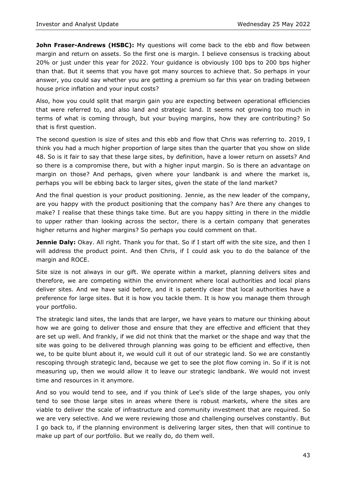**John Fraser-Andrews (HSBC):** My questions will come back to the ebb and flow between margin and return on assets. So the first one is margin. I believe consensus is tracking about 20% or just under this year for 2022. Your guidance is obviously 100 bps to 200 bps higher than that. But it seems that you have got many sources to achieve that. So perhaps in your answer, you could say whether you are getting a premium so far this year on trading between house price inflation and your input costs?

Also, how you could split that margin gain you are expecting between operational efficiencies that were referred to, and also land and strategic land. It seems not growing too much in terms of what is coming through, but your buying margins, how they are contributing? So that is first question.

The second question is size of sites and this ebb and flow that Chris was referring to. 2019, I think you had a much higher proportion of large sites than the quarter that you show on slide 48. So is it fair to say that these large sites, by definition, have a lower return on assets? And so there is a compromise there, but with a higher input margin. So is there an advantage on margin on those? And perhaps, given where your landbank is and where the market is, perhaps you will be ebbing back to larger sites, given the state of the land market?

And the final question is your product positioning. Jennie, as the new leader of the company, are you happy with the product positioning that the company has? Are there any changes to make? I realise that these things take time. But are you happy sitting in there in the middle to upper rather than looking across the sector, there is a certain company that generates higher returns and higher margins? So perhaps you could comment on that.

**Jennie Daly:** Okay. All right. Thank you for that. So if I start off with the site size, and then I will address the product point. And then Chris, if I could ask you to do the balance of the margin and ROCE.

Site size is not always in our gift. We operate within a market, planning delivers sites and therefore, we are competing within the environment where local authorities and local plans deliver sites. And we have said before, and it is patently clear that local authorities have a preference for large sites. But it is how you tackle them. It is how you manage them through your portfolio.

The strategic land sites, the lands that are larger, we have years to mature our thinking about how we are going to deliver those and ensure that they are effective and efficient that they are set up well. And frankly, if we did not think that the market or the shape and way that the site was going to be delivered through planning was going to be efficient and effective, then we, to be quite blunt about it, we would cull it out of our strategic land. So we are constantly rescoping through strategic land, because we get to see the plot flow coming in. So if it is not measuring up, then we would allow it to leave our strategic landbank. We would not invest time and resources in it anymore.

And so you would tend to see, and if you think of Lee's slide of the large shapes, you only tend to see those large sites in areas where there is robust markets, where the sites are viable to deliver the scale of infrastructure and community investment that are required. So we are very selective. And we were reviewing those and challenging ourselves constantly. But I go back to, if the planning environment is delivering larger sites, then that will continue to make up part of our portfolio. But we really do, do them well.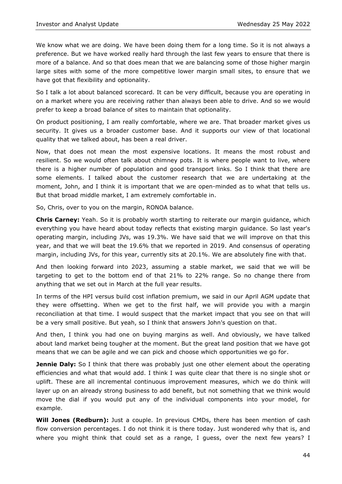We know what we are doing. We have been doing them for a long time. So it is not always a preference. But we have worked really hard through the last few years to ensure that there is more of a balance. And so that does mean that we are balancing some of those higher margin large sites with some of the more competitive lower margin small sites, to ensure that we have got that flexibility and optionality.

So I talk a lot about balanced scorecard. It can be very difficult, because you are operating in on a market where you are receiving rather than always been able to drive. And so we would prefer to keep a broad balance of sites to maintain that optionality.

On product positioning, I am really comfortable, where we are. That broader market gives us security. It gives us a broader customer base. And it supports our view of that locational quality that we talked about, has been a real driver.

Now, that does not mean the most expensive locations. It means the most robust and resilient. So we would often talk about chimney pots. It is where people want to live, where there is a higher number of population and good transport links. So I think that there are some elements. I talked about the customer research that we are undertaking at the moment, John, and I think it is important that we are open-minded as to what that tells us. But that broad middle market, I am extremely comfortable in.

So, Chris, over to you on the margin, RONOA balance.

**Chris Carney:** Yeah. So it is probably worth starting to reiterate our margin guidance, which everything you have heard about today reflects that existing margin guidance. So last year's operating margin, including JVs, was 19.3%. We have said that we will improve on that this year, and that we will beat the 19.6% that we reported in 2019. And consensus of operating margin, including JVs, for this year, currently sits at 20.1%. We are absolutely fine with that.

And then looking forward into 2023, assuming a stable market, we said that we will be targeting to get to the bottom end of that 21% to 22% range. So no change there from anything that we set out in March at the full year results.

In terms of the HPI versus build cost inflation premium, we said in our April AGM update that they were offsetting. When we get to the first half, we will provide you with a margin reconciliation at that time. I would suspect that the market impact that you see on that will be a very small positive. But yeah, so I think that answers John's question on that.

And then, I think you had one on buying margins as well. And obviously, we have talked about land market being tougher at the moment. But the great land position that we have got means that we can be agile and we can pick and choose which opportunities we go for.

**Jennie Daly:** So I think that there was probably just one other element about the operating efficiencies and what that would add. I think I was quite clear that there is no single shot or uplift. These are all incremental continuous improvement measures, which we do think will layer up on an already strong business to add benefit, but not something that we think would move the dial if you would put any of the individual components into your model, for example.

**Will Jones (Redburn):** Just a couple. In previous CMDs, there has been mention of cash flow conversion percentages. I do not think it is there today. Just wondered why that is, and where you might think that could set as a range, I guess, over the next few years? I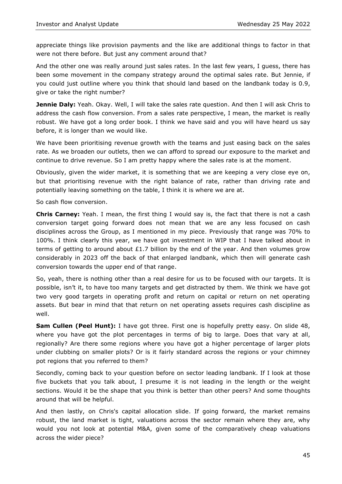appreciate things like provision payments and the like are additional things to factor in that were not there before. But just any comment around that?

And the other one was really around just sales rates. In the last few years, I guess, there has been some movement in the company strategy around the optimal sales rate. But Jennie, if you could just outline where you think that should land based on the landbank today is 0.9, give or take the right number?

**Jennie Daly:** Yeah. Okay. Well, I will take the sales rate question. And then I will ask Chris to address the cash flow conversion. From a sales rate perspective, I mean, the market is really robust. We have got a long order book. I think we have said and you will have heard us say before, it is longer than we would like.

We have been prioritising revenue growth with the teams and just easing back on the sales rate. As we broaden our outlets, then we can afford to spread our exposure to the market and continue to drive revenue. So I am pretty happy where the sales rate is at the moment.

Obviously, given the wider market, it is something that we are keeping a very close eye on, but that prioritising revenue with the right balance of rate, rather than driving rate and potentially leaving something on the table, I think it is where we are at.

So cash flow conversion.

**Chris Carney:** Yeah. I mean, the first thing I would say is, the fact that there is not a cash conversion target going forward does not mean that we are any less focused on cash disciplines across the Group, as I mentioned in my piece. Previously that range was 70% to 100%. I think clearly this year, we have got investment in WIP that I have talked about in terms of getting to around about  $£1.7$  billion by the end of the year. And then volumes grow considerably in 2023 off the back of that enlarged landbank, which then will generate cash conversion towards the upper end of that range.

So, yeah, there is nothing other than a real desire for us to be focused with our targets. It is possible, isn't it, to have too many targets and get distracted by them. We think we have got two very good targets in operating profit and return on capital or return on net operating assets. But bear in mind that that return on net operating assets requires cash discipline as well.

**Sam Cullen (Peel Hunt):** I have got three. First one is hopefully pretty easy. On slide 48, where you have got the plot percentages in terms of big to large. Does that vary at all, regionally? Are there some regions where you have got a higher percentage of larger plots under clubbing on smaller plots? Or is it fairly standard across the regions or your chimney pot regions that you referred to them?

Secondly, coming back to your question before on sector leading landbank. If I look at those five buckets that you talk about, I presume it is not leading in the length or the weight sections. Would it be the shape that you think is better than other peers? And some thoughts around that will be helpful.

And then lastly, on Chris's capital allocation slide. If going forward, the market remains robust, the land market is tight, valuations across the sector remain where they are, why would you not look at potential M&A, given some of the comparatively cheap valuations across the wider piece?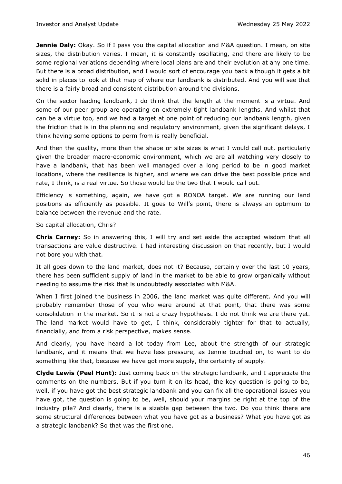**Jennie Daly:** Okay. So if I pass you the capital allocation and M&A question. I mean, on site sizes, the distribution varies. I mean, it is constantly oscillating, and there are likely to be some regional variations depending where local plans are and their evolution at any one time. But there is a broad distribution, and I would sort of encourage you back although it gets a bit solid in places to look at that map of where our landbank is distributed. And you will see that there is a fairly broad and consistent distribution around the divisions.

On the sector leading landbank, I do think that the length at the moment is a virtue. And some of our peer group are operating on extremely tight landbank lengths. And whilst that can be a virtue too, and we had a target at one point of reducing our landbank length, given the friction that is in the planning and regulatory environment, given the significant delays, I think having some options to perm from is really beneficial.

And then the quality, more than the shape or site sizes is what I would call out, particularly given the broader macro-economic environment, which we are all watching very closely to have a landbank, that has been well managed over a long period to be in good market locations, where the resilience is higher, and where we can drive the best possible price and rate, I think, is a real virtue. So those would be the two that I would call out.

Efficiency is something, again, we have got a RONOA target. We are running our land positions as efficiently as possible. It goes to Will's point, there is always an optimum to balance between the revenue and the rate.

So capital allocation, Chris?

**Chris Carney:** So in answering this, I will try and set aside the accepted wisdom that all transactions are value destructive. I had interesting discussion on that recently, but I would not bore you with that.

It all goes down to the land market, does not it? Because, certainly over the last 10 years, there has been sufficient supply of land in the market to be able to grow organically without needing to assume the risk that is undoubtedly associated with M&A.

When I first joined the business in 2006, the land market was quite different. And you will probably remember those of you who were around at that point, that there was some consolidation in the market. So it is not a crazy hypothesis. I do not think we are there yet. The land market would have to get, I think, considerably tighter for that to actually, financially, and from a risk perspective, makes sense.

And clearly, you have heard a lot today from Lee, about the strength of our strategic landbank, and it means that we have less pressure, as Jennie touched on, to want to do something like that, because we have got more supply, the certainty of supply.

**Clyde Lewis (Peel Hunt):** Just coming back on the strategic landbank, and I appreciate the comments on the numbers. But if you turn it on its head, the key question is going to be, well, if you have got the best strategic landbank and you can fix all the operational issues you have got, the question is going to be, well, should your margins be right at the top of the industry pile? And clearly, there is a sizable gap between the two. Do you think there are some structural differences between what you have got as a business? What you have got as a strategic landbank? So that was the first one.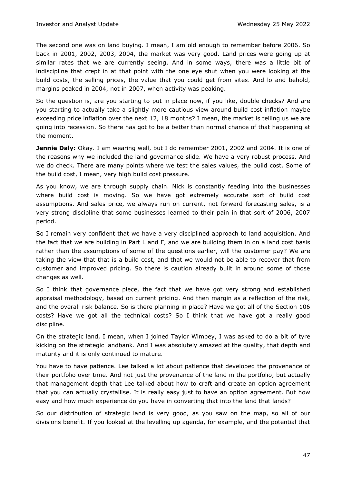The second one was on land buying. I mean, I am old enough to remember before 2006. So back in 2001, 2002, 2003, 2004, the market was very good. Land prices were going up at similar rates that we are currently seeing. And in some ways, there was a little bit of indiscipline that crept in at that point with the one eye shut when you were looking at the build costs, the selling prices, the value that you could get from sites. And lo and behold, margins peaked in 2004, not in 2007, when activity was peaking.

So the question is, are you starting to put in place now, if you like, double checks? And are you starting to actually take a slightly more cautious view around build cost inflation maybe exceeding price inflation over the next 12, 18 months? I mean, the market is telling us we are going into recession. So there has got to be a better than normal chance of that happening at the moment.

**Jennie Daly:** Okay. I am wearing well, but I do remember 2001, 2002 and 2004. It is one of the reasons why we included the land governance slide. We have a very robust process. And we do check. There are many points where we test the sales values, the build cost. Some of the build cost, I mean, very high build cost pressure.

As you know, we are through supply chain. Nick is constantly feeding into the businesses where build cost is moving. So we have got extremely accurate sort of build cost assumptions. And sales price, we always run on current, not forward forecasting sales, is a very strong discipline that some businesses learned to their pain in that sort of 2006, 2007 period.

So I remain very confident that we have a very disciplined approach to land acquisition. And the fact that we are building in Part L and F, and we are building them in on a land cost basis rather than the assumptions of some of the questions earlier, will the customer pay? We are taking the view that that is a build cost, and that we would not be able to recover that from customer and improved pricing. So there is caution already built in around some of those changes as well.

So I think that governance piece, the fact that we have got very strong and established appraisal methodology, based on current pricing. And then margin as a reflection of the risk, and the overall risk balance. So is there planning in place? Have we got all of the Section 106 costs? Have we got all the technical costs? So I think that we have got a really good discipline.

On the strategic land, I mean, when I joined Taylor Wimpey, I was asked to do a bit of tyre kicking on the strategic landbank. And I was absolutely amazed at the quality, that depth and maturity and it is only continued to mature.

You have to have patience. Lee talked a lot about patience that developed the provenance of their portfolio over time. And not just the provenance of the land in the portfolio, but actually that management depth that Lee talked about how to craft and create an option agreement that you can actually crystallise. It is really easy just to have an option agreement. But how easy and how much experience do you have in converting that into the land that lands?

So our distribution of strategic land is very good, as you saw on the map, so all of our divisions benefit. If you looked at the levelling up agenda, for example, and the potential that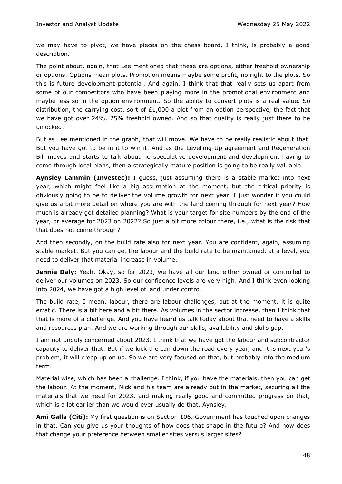we may have to pivot, we have pieces on the chess board, I think, is probably a good description.

The point about, again, that Lee mentioned that these are options, either freehold ownership or options. Options mean plots. Promotion means maybe some profit, no right to the plots. So this is future development potential. And again, I think that that really sets us apart from some of our competitors who have been playing more in the promotional environment and maybe less so in the option environment. So the ability to convert plots is a real value. So distribution, the carrying cost, sort of £1,000 a plot from an option perspective, the fact that we have got over 24%, 25% freehold owned. And so that quality is really just there to be unlocked.

But as Lee mentioned in the graph, that will move. We have to be really realistic about that. But you have got to be in it to win it. And as the Levelling-Up agreement and Regeneration Bill moves and starts to talk about no speculative development and development having to come through local plans, then a strategically mature position is going to be really valuable.

**Aynsley Lammin (Investec):** I guess, just assuming there is a stable market into next year, which might feel like a big assumption at the moment, but the critical priority is obviously going to be to deliver the volume growth for next year. I just wonder if you could give us a bit more detail on where you are with the land coming through for next year? How much is already got detailed planning? What is your target for site numbers by the end of the year, or average for 2023 on 2022? So just a bit more colour there, i.e., what is the risk that that does not come through?

And then secondly, on the build rate also for next year. You are confident, again, assuming stable market. But you can get the labour and the build rate to be maintained, at a level, you need to deliver that material increase in volume.

**Jennie Daly:** Yeah. Okay, so for 2023, we have all our land either owned or controlled to deliver our volumes on 2023. So our confidence levels are very high. And I think even looking into 2024, we have got a high level of land under control.

The build rate, I mean, labour, there are labour challenges, but at the moment, it is quite erratic. There is a bit here and a bit there. As volumes in the sector increase, then I think that that is more of a challenge. And you have heard us talk today about that need to have a skills and resources plan. And we are working through our skills, availability and skills gap.

I am not unduly concerned about 2023. I think that we have got the labour and subcontractor capacity to deliver that. But if we kick the can down the road every year, and it is next year's problem, it will creep up on us. So we are very focused on that, but probably into the medium term.

Material wise, which has been a challenge. I think, if you have the materials, then you can get the labour. At the moment, Nick and his team are already out in the market, securing all the materials that we need for 2023, and making really good and committed progress on that, which is a lot earlier than we would ever usually do that, Aynsley.

**Ami Galla (Citi):** My first question is on Section 106. Government has touched upon changes in that. Can you give us your thoughts of how does that shape in the future? And how does that change your preference between smaller sites versus larger sites?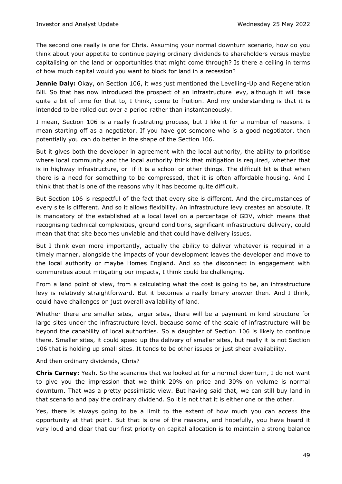The second one really is one for Chris. Assuming your normal downturn scenario, how do you think about your appetite to continue paying ordinary dividends to shareholders versus maybe capitalising on the land or opportunities that might come through? Is there a ceiling in terms of how much capital would you want to block for land in a recession?

**Jennie Daly:** Okay, on Section 106, it was just mentioned the Levelling-Up and Regeneration Bill. So that has now introduced the prospect of an infrastructure levy, although it will take quite a bit of time for that to, I think, come to fruition. And my understanding is that it is intended to be rolled out over a period rather than instantaneously.

I mean, Section 106 is a really frustrating process, but I like it for a number of reasons. I mean starting off as a negotiator. If you have got someone who is a good negotiator, then potentially you can do better in the shape of the Section 106.

But it gives both the developer in agreement with the local authority, the ability to prioritise where local community and the local authority think that mitigation is required, whether that is in highway infrastructure, or if it is a school or other things. The difficult bit is that when there is a need for something to be compressed, that it is often affordable housing. And I think that that is one of the reasons why it has become quite difficult.

But Section 106 is respectful of the fact that every site is different. And the circumstances of every site is different. And so it allows flexibility. An infrastructure levy creates an absolute. It is mandatory of the established at a local level on a percentage of GDV, which means that recognising technical complexities, ground conditions, significant infrastructure delivery, could mean that that site becomes unviable and that could have delivery issues.

But I think even more importantly, actually the ability to deliver whatever is required in a timely manner, alongside the impacts of your development leaves the developer and move to the local authority or maybe Homes England. And so the disconnect in engagement with communities about mitigating our impacts, I think could be challenging.

From a land point of view, from a calculating what the cost is going to be, an infrastructure levy is relatively straightforward. But it becomes a really binary answer then. And I think, could have challenges on just overall availability of land.

Whether there are smaller sites, larger sites, there will be a payment in kind structure for large sites under the infrastructure level, because some of the scale of infrastructure will be beyond the capability of local authorities. So a daughter of Section 106 is likely to continue there. Smaller sites, it could speed up the delivery of smaller sites, but really it is not Section 106 that is holding up small sites. It tends to be other issues or just sheer availability.

And then ordinary dividends, Chris?

**Chris Carney:** Yeah. So the scenarios that we looked at for a normal downturn, I do not want to give you the impression that we think 20% on price and 30% on volume is normal downturn. That was a pretty pessimistic view. But having said that, we can still buy land in that scenario and pay the ordinary dividend. So it is not that it is either one or the other.

Yes, there is always going to be a limit to the extent of how much you can access the opportunity at that point. But that is one of the reasons, and hopefully, you have heard it very loud and clear that our first priority on capital allocation is to maintain a strong balance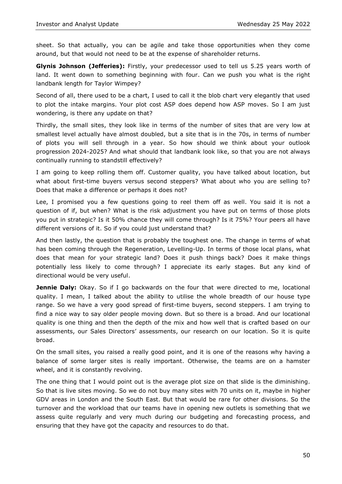sheet. So that actually, you can be agile and take those opportunities when they come around, but that would not need to be at the expense of shareholder returns.

**Glynis Johnson (Jefferies):** Firstly, your predecessor used to tell us 5.25 years worth of land. It went down to something beginning with four. Can we push you what is the right landbank length for Taylor Wimpey?

Second of all, there used to be a chart, I used to call it the blob chart very elegantly that used to plot the intake margins. Your plot cost ASP does depend how ASP moves. So I am just wondering, is there any update on that?

Thirdly, the small sites, they look like in terms of the number of sites that are very low at smallest level actually have almost doubled, but a site that is in the 70s, in terms of number of plots you will sell through in a year. So how should we think about your outlook progression 2024-2025? And what should that landbank look like, so that you are not always continually running to standstill effectively?

I am going to keep rolling them off. Customer quality, you have talked about location, but what about first-time buyers versus second steppers? What about who you are selling to? Does that make a difference or perhaps it does not?

Lee, I promised you a few questions going to reel them off as well. You said it is not a question of if, but when? What is the risk adjustment you have put on terms of those plots you put in strategic? Is it 50% chance they will come through? Is it 75%? Your peers all have different versions of it. So if you could just understand that?

And then lastly, the question that is probably the toughest one. The change in terms of what has been coming through the Regeneration, Levelling-Up. In terms of those local plans, what does that mean for your strategic land? Does it push things back? Does it make things potentially less likely to come through? I appreciate its early stages. But any kind of directional would be very useful.

**Jennie Daly:** Okay. So if I go backwards on the four that were directed to me, locational quality. I mean, I talked about the ability to utilise the whole breadth of our house type range. So we have a very good spread of first-time buyers, second steppers. I am trying to find a nice way to say older people moving down. But so there is a broad. And our locational quality is one thing and then the depth of the mix and how well that is crafted based on our assessments, our Sales Directors' assessments, our research on our location. So it is quite broad.

On the small sites, you raised a really good point, and it is one of the reasons why having a balance of some larger sites is really important. Otherwise, the teams are on a hamster wheel, and it is constantly revolving.

The one thing that I would point out is the average plot size on that slide is the diminishing. So that is live sites moving. So we do not buy many sites with 70 units on it, maybe in higher GDV areas in London and the South East. But that would be rare for other divisions. So the turnover and the workload that our teams have in opening new outlets is something that we assess quite regularly and very much during our budgeting and forecasting process, and ensuring that they have got the capacity and resources to do that.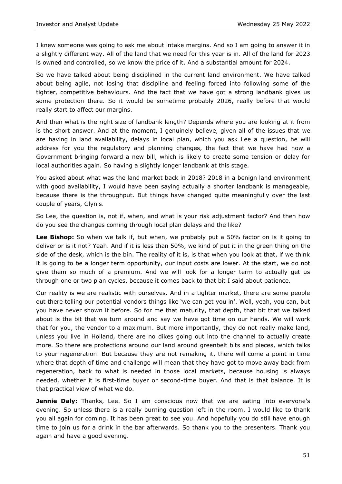I knew someone was going to ask me about intake margins. And so I am going to answer it in a slightly different way. All of the land that we need for this year is in. All of the land for 2023 is owned and controlled, so we know the price of it. And a substantial amount for 2024.

So we have talked about being disciplined in the current land environment. We have talked about being agile, not losing that discipline and feeling forced into following some of the tighter, competitive behaviours. And the fact that we have got a strong landbank gives us some protection there. So it would be sometime probably 2026, really before that would really start to affect our margins.

And then what is the right size of landbank length? Depends where you are looking at it from is the short answer. And at the moment, I genuinely believe, given all of the issues that we are having in land availability, delays in local plan, which you ask Lee a question, he will address for you the regulatory and planning changes, the fact that we have had now a Government bringing forward a new bill, which is likely to create some tension or delay for local authorities again. So having a slightly longer landbank at this stage.

You asked about what was the land market back in 2018? 2018 in a benign land environment with good availability, I would have been saying actually a shorter landbank is manageable, because there is the throughput. But things have changed quite meaningfully over the last couple of years, Glynis.

So Lee, the question is, not if, when, and what is your risk adjustment factor? And then how do you see the changes coming through local plan delays and the like?

**Lee Bishop:** So when we talk if, but when, we probably put a 50% factor on is it going to deliver or is it not? Yeah. And if it is less than 50%, we kind of put it in the green thing on the side of the desk, which is the bin. The reality of it is, is that when you look at that, if we think it is going to be a longer term opportunity, our input costs are lower. At the start, we do not give them so much of a premium. And we will look for a longer term to actually get us through one or two plan cycles, because it comes back to that bit I said about patience.

Our reality is we are realistic with ourselves. And in a tighter market, there are some people out there telling our potential vendors things like 'we can get you in'. Well, yeah, you can, but you have never shown it before. So for me that maturity, that depth, that bit that we talked about is the bit that we turn around and say we have got time on our hands. We will work that for you, the vendor to a maximum. But more importantly, they do not really make land, unless you live in Holland, there are no dikes going out into the channel to actually create more. So there are protections around our land around greenbelt bits and pieces, which talks to your regeneration. But because they are not remaking it, there will come a point in time where that depth of time and challenge will mean that they have got to move away back from regeneration, back to what is needed in those local markets, because housing is always needed, whether it is first-time buyer or second-time buyer. And that is that balance. It is that practical view of what we do.

**Jennie Daly:** Thanks, Lee. So I am conscious now that we are eating into everyone's evening. So unless there is a really burning question left in the room, I would like to thank you all again for coming. It has been great to see you. And hopefully you do still have enough time to join us for a drink in the bar afterwards. So thank you to the presenters. Thank you again and have a good evening.